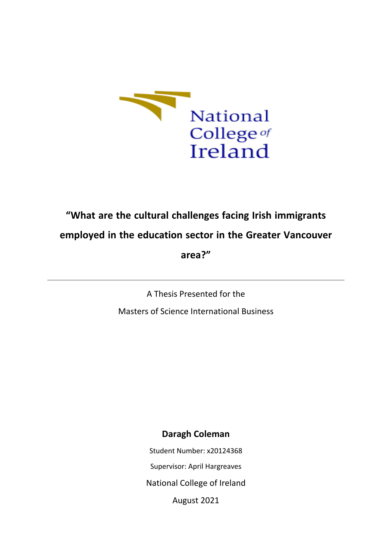

# **"What are the cultural challenges facing Irish immigrants**

# **employed in the education sector in the Greater Vancouver**

**area?"**

A Thesis Presented for the

Masters of Science International Business

## **Daragh Coleman**

Student Number: x20124368 Supervisor: April Hargreaves

National College of Ireland

August 2021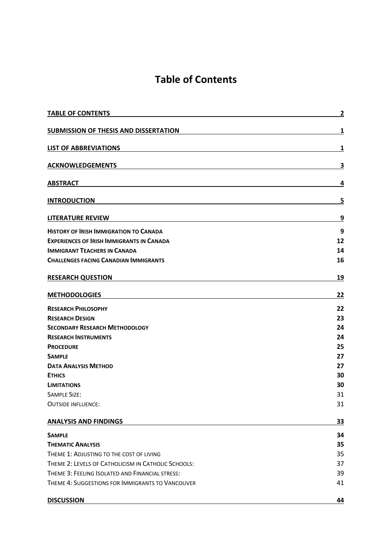# **Table of Contents**

| <b>TABLE OF CONTENTS</b>                            | $\overline{2}$ |
|-----------------------------------------------------|----------------|
| <b>SUBMISSION OF THESIS AND DISSERTATION</b>        | 1              |
| <b>LIST OF ABBREVIATIONS</b>                        | 1              |
| <b>ACKNOWLEDGEMENTS</b>                             | 3              |
| <b>ABSTRACT</b>                                     | 4              |
| <b>INTRODUCTION</b>                                 | 5              |
| <b>LITERATURE REVIEW</b>                            | 9              |
| <b>HISTORY OF IRISH IMMIGRATION TO CANADA</b>       | 9              |
| <b>EXPERIENCES OF IRISH IMMIGRANTS IN CANADA</b>    | 12             |
| <b>IMMIGRANT TEACHERS IN CANADA</b>                 | 14             |
| <b>CHALLENGES FACING CANADIAN IMMIGRANTS</b>        | 16             |
| <b>RESEARCH QUESTION</b>                            | 19             |
| <b>METHODOLOGIES</b>                                | 22             |
| <b>RESEARCH PHILOSOPHY</b>                          | 22             |
| <b>RESEARCH DESIGN</b>                              | 23             |
| <b>SECONDARY RESEARCH METHODOLOGY</b>               | 24             |
| <b>RESEARCH INSTRUMENTS</b>                         | 24             |
| <b>PROCEDURE</b>                                    | 25             |
| <b>SAMPLE</b>                                       | 27             |
| <b>DATA ANALYSIS METHOD</b>                         | 27             |
| <b>ETHICS</b>                                       | 30             |
| <b>LIMITATIONS</b>                                  | 30             |
| <b>SAMPLE SIZE:</b>                                 | 31             |
| <b>OUTSIDE INFLUENCE:</b>                           | 31             |
| <b>ANALYSIS AND FINDINGS</b>                        | 33             |
| <b>SAMPLE</b>                                       | 34             |
| <b>THEMATIC ANALYSIS</b>                            | 35             |
| THEME 1: ADJUSTING TO THE COST OF LIVING            | 35             |
| THEME 2: LEVELS OF CATHOLICISM IN CATHOLIC SCHOOLS: | 37             |
| THEME 3: FEELING ISOLATED AND FINANCIAL STRESS:     | 39             |
| THEME 4: SUGGESTIONS FOR IMMIGRANTS TO VANCOUVER    | 41             |
| <b>DISCUSSION</b>                                   | 44             |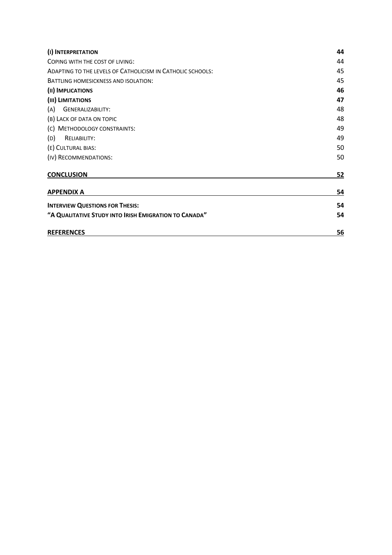| (I) INTERPRETATION<br>COPING WITH THE COST OF LIVING:<br>ADAPTING TO THE LEVELS OF CATHOLICISM IN CATHOLIC SCHOOLS:<br>BATTLING HOMESICKNESS AND ISOLATION:<br>(II) IMPLICATIONS<br>(III) LIMITATIONS | 44<br>44<br>45<br>45<br>46<br>47 |                                                                                                        |                      |                       |    |
|-------------------------------------------------------------------------------------------------------------------------------------------------------------------------------------------------------|----------------------------------|--------------------------------------------------------------------------------------------------------|----------------------|-----------------------|----|
|                                                                                                                                                                                                       |                                  | <b>GENERALIZABILITY:</b><br>(A)                                                                        | 48                   |                       |    |
|                                                                                                                                                                                                       |                                  | (B) LACK OF DATA ON TOPIC<br>(C) METHODOLOGY CONSTRAINTS:<br>(D)<br>RELIABILITY:<br>(E) CULTURAL BIAS: | 48<br>49<br>49<br>50 |                       |    |
|                                                                                                                                                                                                       |                                  |                                                                                                        |                      | (IV) RECOMMENDATIONS: | 50 |
|                                                                                                                                                                                                       |                                  |                                                                                                        |                      | <b>CONCLUSION</b>     | 52 |
|                                                                                                                                                                                                       |                                  |                                                                                                        |                      | <b>APPENDIX A</b>     | 54 |
| <b>INTERVIEW QUESTIONS FOR THESIS:</b>                                                                                                                                                                | 54                               |                                                                                                        |                      |                       |    |
| "A QUALITATIVE STUDY INTO IRISH EMIGRATION TO CANADA"                                                                                                                                                 | 54                               |                                                                                                        |                      |                       |    |
| <b>REFERENCES</b>                                                                                                                                                                                     | 56                               |                                                                                                        |                      |                       |    |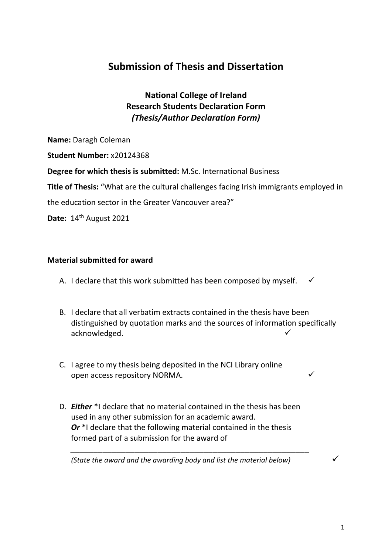# **Submission of Thesis and Dissertation**

## **National College of Ireland Research Students Declaration Form** *(Thesis/Author Declaration Form)*

**Name:** Daragh Coleman

**Student Number:** x20124368

**Degree for which thesis is submitted:** M.Sc. International Business

**Title of Thesis:** "What are the cultural challenges facing Irish immigrants employed in

the education sector in the Greater Vancouver area?"

**Date:** 14th August 2021

## **Material submitted for award**

- A. I declare that this work submitted has been composed by myself.  $\checkmark$
- B. I declare that all verbatim extracts contained in the thesis have been distinguished by quotation marks and the sources of information specifically acknowledged.
- C. I agree to my thesis being deposited in the NCI Library online open access repository NORMA.
- D. *Either* \*I declare that no material contained in the thesis has been used in any other submission for an academic award. *Or* \*I declare that the following material contained in the thesis formed part of a submission for the award of

*(State the award and the awarding body and list the material below)*

*\_\_\_\_\_\_\_\_\_\_\_\_\_\_\_\_\_\_\_\_\_\_\_\_\_\_\_\_\_\_\_\_\_\_\_\_\_\_\_\_\_\_\_\_\_\_\_\_\_\_\_\_*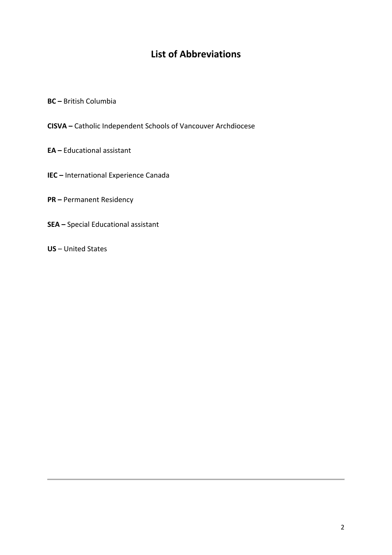## **List of Abbreviations**

- **BC –** British Columbia
- **CISVA –** Catholic Independent Schools of Vancouver Archdiocese
- **EA –** Educational assistant
- **IEC –** International Experience Canada
- **PR –** Permanent Residency
- **SEA –** Special Educational assistant
- **US** United States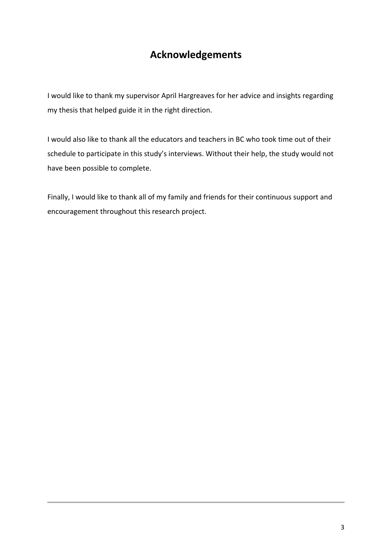# **Acknowledgements**

I would like to thank my supervisor April Hargreaves for her advice and insights regarding my thesis that helped guide it in the right direction.

I would also like to thank all the educators and teachers in BC who took time out of their schedule to participate in this study's interviews. Without their help, the study would not have been possible to complete.

Finally, I would like to thank all of my family and friends for their continuous support and encouragement throughout this research project.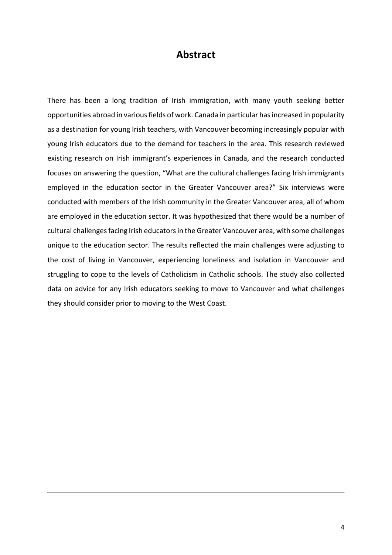## **Abstract**

There has been a long tradition of Irish immigration, with many youth seeking better opportunities abroad in various fields of work. Canada in particular has increased in popularity as a destination for young Irish teachers, with Vancouver becoming increasingly popular with young Irish educators due to the demand for teachers in the area. This research reviewed existing research on Irish immigrant's experiences in Canada, and the research conducted focuses on answering the question, "What are the cultural challenges facing Irish immigrants employed in the education sector in the Greater Vancouver area?" Six interviews were conducted with members of the Irish community in the Greater Vancouver area, all of whom are employed in the education sector. It was hypothesized that there would be a number of cultural challenges facing Irish educators in the Greater Vancouver area, with some challenges unique to the education sector. The results reflected the main challenges were adjusting to the cost of living in Vancouver, experiencing loneliness and isolation in Vancouver and struggling to cope to the levels of Catholicism in Catholic schools. The study also collected data on advice for any Irish educators seeking to move to Vancouver and what challenges they should consider prior to moving to the West Coast.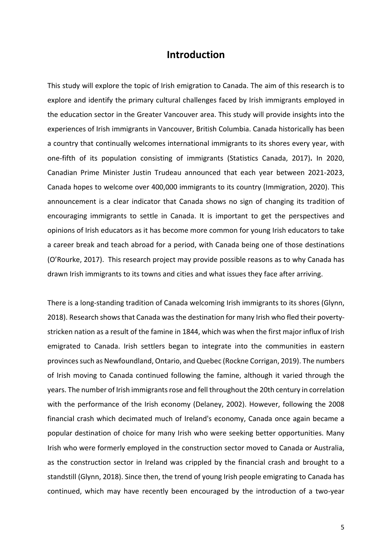## **Introduction**

This study will explore the topic of Irish emigration to Canada. The aim of this research is to explore and identify the primary cultural challenges faced by Irish immigrants employed in the education sector in the Greater Vancouver area. This study will provide insights into the experiences of Irish immigrants in Vancouver, British Columbia. Canada historically has been a country that continually welcomes international immigrants to its shores every year, with one-fifth of its population consisting of immigrants (Statistics Canada, 2017)**.** In 2020, Canadian Prime Minister Justin Trudeau announced that each year between 2021-2023, Canada hopes to welcome over 400,000 immigrants to its country (Immigration, 2020). This announcement is a clear indicator that Canada shows no sign of changing its tradition of encouraging immigrants to settle in Canada. It is important to get the perspectives and opinions of Irish educators as it has become more common for young Irish educators to take a career break and teach abroad for a period, with Canada being one of those destinations (O'Rourke, 2017). This research project may provide possible reasons as to why Canada has drawn Irish immigrants to its towns and cities and what issues they face after arriving.

There is a long-standing tradition of Canada welcoming Irish immigrants to its shores (Glynn, 2018). Research shows that Canada was the destination for many Irish who fled their povertystricken nation as a result of the famine in 1844, which was when the first major influx of Irish emigrated to Canada. Irish settlers began to integrate into the communities in eastern provinces such as Newfoundland, Ontario, and Quebec (Rockne Corrigan, 2019). The numbers of Irish moving to Canada continued following the famine, although it varied through the years. The number of Irish immigrants rose and fell throughout the 20th century in correlation with the performance of the Irish economy (Delaney, 2002). However, following the 2008 financial crash which decimated much of Ireland's economy, Canada once again became a popular destination of choice for many Irish who were seeking better opportunities. Many Irish who were formerly employed in the construction sector moved to Canada or Australia, as the construction sector in Ireland was crippled by the financial crash and brought to a standstill (Glynn, 2018). Since then, the trend of young Irish people emigrating to Canada has continued, which may have recently been encouraged by the introduction of a two-year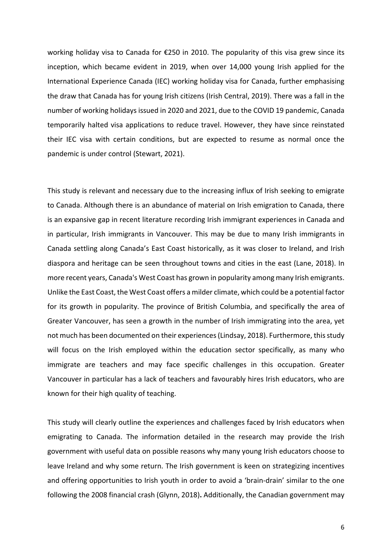working holiday visa to Canada for €250 in 2010. The popularity of this visa grew since its inception, which became evident in 2019, when over 14,000 young Irish applied for the International Experience Canada (IEC) working holiday visa for Canada, further emphasising the draw that Canada has for young Irish citizens (Irish Central, 2019). There was a fall in the number of working holidays issued in 2020 and 2021, due to the COVID 19 pandemic, Canada temporarily halted visa applications to reduce travel. However, they have since reinstated their IEC visa with certain conditions, but are expected to resume as normal once the pandemic is under control (Stewart, 2021).

This study is relevant and necessary due to the increasing influx of Irish seeking to emigrate to Canada. Although there is an abundance of material on Irish emigration to Canada, there is an expansive gap in recent literature recording Irish immigrant experiences in Canada and in particular, Irish immigrants in Vancouver. This may be due to many Irish immigrants in Canada settling along Canada's East Coast historically, as it was closer to Ireland, and Irish diaspora and heritage can be seen throughout towns and cities in the east (Lane, 2018). In more recent years, Canada's West Coast has grown in popularity among many Irish emigrants. Unlike the East Coast, the West Coast offers a milder climate, which could be a potential factor for its growth in popularity. The province of British Columbia, and specifically the area of Greater Vancouver, has seen a growth in the number of Irish immigrating into the area, yet not much has been documented on their experiences (Lindsay, 2018). Furthermore, this study will focus on the Irish employed within the education sector specifically, as many who immigrate are teachers and may face specific challenges in this occupation. Greater Vancouver in particular has a lack of teachers and favourably hires Irish educators, who are known for their high quality of teaching.

This study will clearly outline the experiences and challenges faced by Irish educators when emigrating to Canada. The information detailed in the research may provide the Irish government with useful data on possible reasons why many young Irish educators choose to leave Ireland and why some return. The Irish government is keen on strategizing incentives and offering opportunities to Irish youth in order to avoid a 'brain-drain' similar to the one following the 2008 financial crash (Glynn, 2018)**.** Additionally, the Canadian government may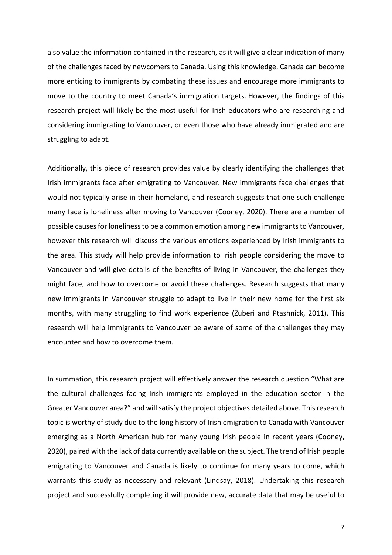also value the information contained in the research, as it will give a clear indication of many of the challenges faced by newcomers to Canada. Using this knowledge, Canada can become more enticing to immigrants by combating these issues and encourage more immigrants to move to the country to meet Canada's immigration targets. However, the findings of this research project will likely be the most useful for Irish educators who are researching and considering immigrating to Vancouver, or even those who have already immigrated and are struggling to adapt.

Additionally, this piece of research provides value by clearly identifying the challenges that Irish immigrants face after emigrating to Vancouver. New immigrants face challenges that would not typically arise in their homeland, and research suggests that one such challenge many face is loneliness after moving to Vancouver (Cooney, 2020). There are a number of possible causes for loneliness to be a common emotion among new immigrants to Vancouver, however this research will discuss the various emotions experienced by Irish immigrants to the area. This study will help provide information to Irish people considering the move to Vancouver and will give details of the benefits of living in Vancouver, the challenges they might face, and how to overcome or avoid these challenges. Research suggests that many new immigrants in Vancouver struggle to adapt to live in their new home for the first six months, with many struggling to find work experience (Zuberi and Ptashnick, 2011). This research will help immigrants to Vancouver be aware of some of the challenges they may encounter and how to overcome them.

In summation, this research project will effectively answer the research question "What are the cultural challenges facing Irish immigrants employed in the education sector in the Greater Vancouver area?" and will satisfy the project objectives detailed above. This research topic is worthy of study due to the long history of Irish emigration to Canada with Vancouver emerging as a North American hub for many young Irish people in recent years (Cooney, 2020), paired with the lack of data currently available on the subject. The trend of Irish people emigrating to Vancouver and Canada is likely to continue for many years to come, which warrants this study as necessary and relevant (Lindsay, 2018). Undertaking this research project and successfully completing it will provide new, accurate data that may be useful to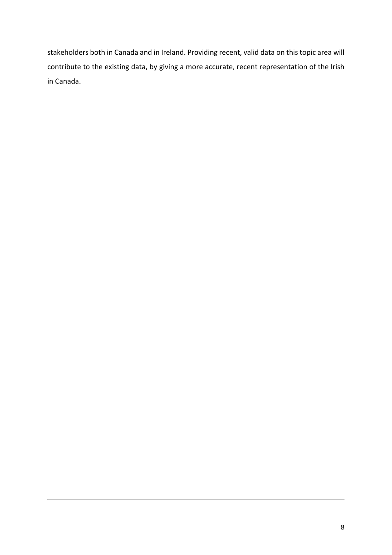stakeholders both in Canada and in Ireland. Providing recent, valid data on this topic area will contribute to the existing data, by giving a more accurate, recent representation of the Irish in Canada.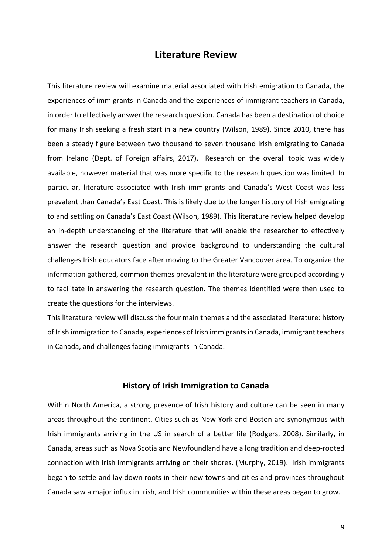## **Literature Review**

This literature review will examine material associated with Irish emigration to Canada, the experiences of immigrants in Canada and the experiences of immigrant teachers in Canada, in order to effectively answer the research question. Canada has been a destination of choice for many Irish seeking a fresh start in a new country (Wilson, 1989). Since 2010, there has been a steady figure between two thousand to seven thousand Irish emigrating to Canada from Ireland (Dept. of Foreign affairs, 2017). Research on the overall topic was widely available, however material that was more specific to the research question was limited. In particular, literature associated with Irish immigrants and Canada's West Coast was less prevalent than Canada's East Coast. This is likely due to the longer history of Irish emigrating to and settling on Canada's East Coast (Wilson, 1989). This literature review helped develop an in-depth understanding of the literature that will enable the researcher to effectively answer the research question and provide background to understanding the cultural challenges Irish educators face after moving to the Greater Vancouver area. To organize the information gathered, common themes prevalent in the literature were grouped accordingly to facilitate in answering the research question. The themes identified were then used to create the questions for the interviews.

This literature review will discuss the four main themes and the associated literature: history of Irish immigration to Canada, experiences of Irish immigrants in Canada, immigrant teachers in Canada, and challenges facing immigrants in Canada.

### **History of Irish Immigration to Canada**

Within North America, a strong presence of Irish history and culture can be seen in many areas throughout the continent. Cities such as New York and Boston are synonymous with Irish immigrants arriving in the US in search of a better life (Rodgers, 2008). Similarly, in Canada, areas such as Nova Scotia and Newfoundland have a long tradition and deep-rooted connection with Irish immigrants arriving on their shores. (Murphy, 2019). Irish immigrants began to settle and lay down roots in their new towns and cities and provinces throughout Canada saw a major influx in Irish, and Irish communities within these areas began to grow.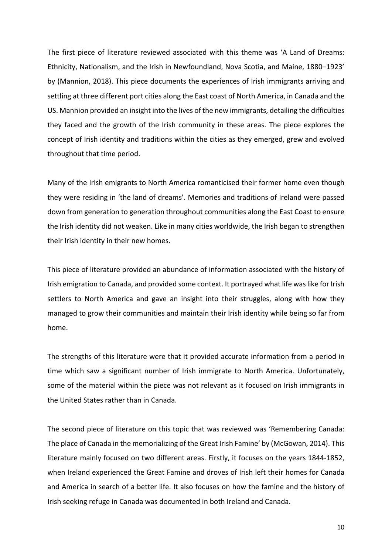The first piece of literature reviewed associated with this theme was 'A Land of Dreams: Ethnicity, Nationalism, and the Irish in Newfoundland, Nova Scotia, and Maine, 1880–1923' by (Mannion, 2018). This piece documents the experiences of Irish immigrants arriving and settling at three different port cities along the East coast of North America, in Canada and the US. Mannion provided an insight into the lives of the new immigrants, detailing the difficulties they faced and the growth of the Irish community in these areas. The piece explores the concept of Irish identity and traditions within the cities as they emerged, grew and evolved throughout that time period.

Many of the Irish emigrants to North America romanticised their former home even though they were residing in 'the land of dreams'. Memories and traditions of Ireland were passed down from generation to generation throughout communities along the East Coast to ensure the Irish identity did not weaken. Like in many cities worldwide, the Irish began to strengthen their Irish identity in their new homes.

This piece of literature provided an abundance of information associated with the history of Irish emigration to Canada, and provided some context. It portrayed what life was like for Irish settlers to North America and gave an insight into their struggles, along with how they managed to grow their communities and maintain their Irish identity while being so far from home.

The strengths of this literature were that it provided accurate information from a period in time which saw a significant number of Irish immigrate to North America. Unfortunately, some of the material within the piece was not relevant as it focused on Irish immigrants in the United States rather than in Canada.

The second piece of literature on this topic that was reviewed was 'Remembering Canada: The place of Canada in the memorializing of the Great Irish Famine' by (McGowan, 2014). This literature mainly focused on two different areas. Firstly, it focuses on the years 1844-1852, when Ireland experienced the Great Famine and droves of Irish left their homes for Canada and America in search of a better life. It also focuses on how the famine and the history of Irish seeking refuge in Canada was documented in both Ireland and Canada.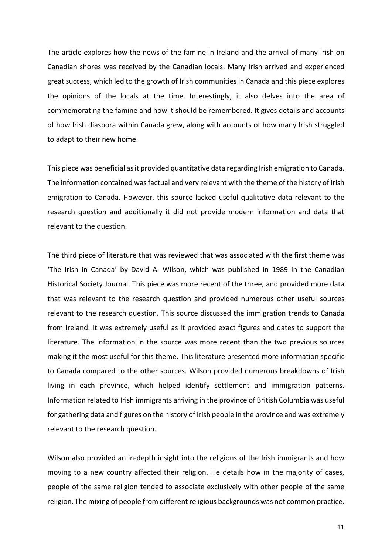The article explores how the news of the famine in Ireland and the arrival of many Irish on Canadian shores was received by the Canadian locals. Many Irish arrived and experienced great success, which led to the growth of Irish communities in Canada and this piece explores the opinions of the locals at the time. Interestingly, it also delves into the area of commemorating the famine and how it should be remembered. It gives details and accounts of how Irish diaspora within Canada grew, along with accounts of how many Irish struggled to adapt to their new home.

This piece was beneficial as it provided quantitative data regarding Irish emigration to Canada. The information contained was factual and very relevant with the theme of the history of Irish emigration to Canada. However, this source lacked useful qualitative data relevant to the research question and additionally it did not provide modern information and data that relevant to the question.

The third piece of literature that was reviewed that was associated with the first theme was 'The Irish in Canada' by David A. Wilson, which was published in 1989 in the Canadian Historical Society Journal. This piece was more recent of the three, and provided more data that was relevant to the research question and provided numerous other useful sources relevant to the research question. This source discussed the immigration trends to Canada from Ireland. It was extremely useful as it provided exact figures and dates to support the literature. The information in the source was more recent than the two previous sources making it the most useful for this theme. This literature presented more information specific to Canada compared to the other sources. Wilson provided numerous breakdowns of Irish living in each province, which helped identify settlement and immigration patterns. Information related to Irish immigrants arriving in the province of British Columbia was useful for gathering data and figures on the history of Irish people in the province and was extremely relevant to the research question.

Wilson also provided an in-depth insight into the religions of the Irish immigrants and how moving to a new country affected their religion. He details how in the majority of cases, people of the same religion tended to associate exclusively with other people of the same religion. The mixing of people from different religious backgrounds was not common practice.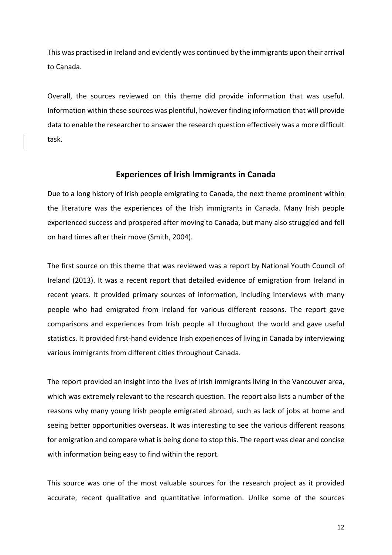This was practised in Ireland and evidently was continued by the immigrants upon their arrival to Canada.

Overall, the sources reviewed on this theme did provide information that was useful. Information within these sources was plentiful, however finding information that will provide data to enable the researcher to answer the research question effectively was a more difficult task.

### **Experiences of Irish Immigrants in Canada**

Due to a long history of Irish people emigrating to Canada, the next theme prominent within the literature was the experiences of the Irish immigrants in Canada. Many Irish people experienced success and prospered after moving to Canada, but many also struggled and fell on hard times after their move (Smith, 2004).

The first source on this theme that was reviewed was a report by National Youth Council of Ireland (2013). It was a recent report that detailed evidence of emigration from Ireland in recent years. It provided primary sources of information, including interviews with many people who had emigrated from Ireland for various different reasons. The report gave comparisons and experiences from Irish people all throughout the world and gave useful statistics. It provided first-hand evidence Irish experiences of living in Canada by interviewing various immigrants from different cities throughout Canada.

The report provided an insight into the lives of Irish immigrants living in the Vancouver area, which was extremely relevant to the research question. The report also lists a number of the reasons why many young Irish people emigrated abroad, such as lack of jobs at home and seeing better opportunities overseas. It was interesting to see the various different reasons for emigration and compare what is being done to stop this. The report was clear and concise with information being easy to find within the report.

This source was one of the most valuable sources for the research project as it provided accurate, recent qualitative and quantitative information. Unlike some of the sources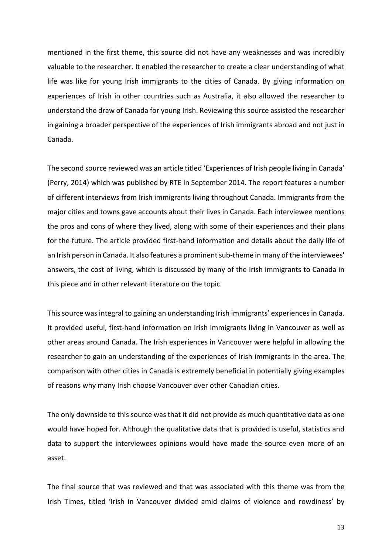mentioned in the first theme, this source did not have any weaknesses and was incredibly valuable to the researcher. It enabled the researcher to create a clear understanding of what life was like for young Irish immigrants to the cities of Canada. By giving information on experiences of Irish in other countries such as Australia, it also allowed the researcher to understand the draw of Canada for young Irish. Reviewing this source assisted the researcher in gaining a broader perspective of the experiences of Irish immigrants abroad and not just in Canada.

The second source reviewed was an article titled 'Experiences of Irish people living in Canada' (Perry, 2014) which was published by RTE in September 2014. The report features a number of different interviews from Irish immigrants living throughout Canada. Immigrants from the major cities and towns gave accounts about their lives in Canada. Each interviewee mentions the pros and cons of where they lived, along with some of their experiences and their plans for the future. The article provided first-hand information and details about the daily life of an Irish person in Canada. It also features a prominent sub-theme in many of the interviewees' answers, the cost of living, which is discussed by many of the Irish immigrants to Canada in this piece and in other relevant literature on the topic.

This source was integral to gaining an understanding Irish immigrants' experiences in Canada. It provided useful, first-hand information on Irish immigrants living in Vancouver as well as other areas around Canada. The Irish experiences in Vancouver were helpful in allowing the researcher to gain an understanding of the experiences of Irish immigrants in the area. The comparison with other cities in Canada is extremely beneficial in potentially giving examples of reasons why many Irish choose Vancouver over other Canadian cities.

The only downside to this source was that it did not provide as much quantitative data as one would have hoped for. Although the qualitative data that is provided is useful, statistics and data to support the interviewees opinions would have made the source even more of an asset.

The final source that was reviewed and that was associated with this theme was from the Irish Times, titled 'Irish in Vancouver divided amid claims of violence and rowdiness' by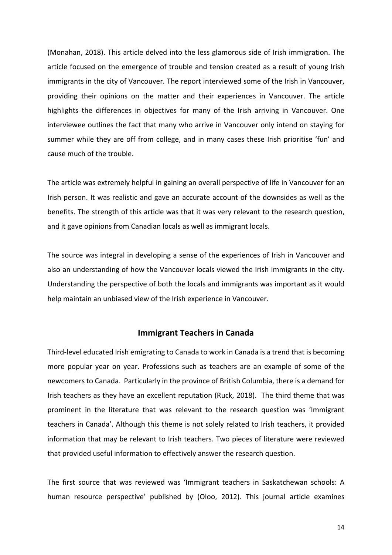(Monahan, 2018). This article delved into the less glamorous side of Irish immigration. The article focused on the emergence of trouble and tension created as a result of young Irish immigrants in the city of Vancouver. The report interviewed some of the Irish in Vancouver, providing their opinions on the matter and their experiences in Vancouver. The article highlights the differences in objectives for many of the Irish arriving in Vancouver. One interviewee outlines the fact that many who arrive in Vancouver only intend on staying for summer while they are off from college, and in many cases these Irish prioritise 'fun' and cause much of the trouble.

The article was extremely helpful in gaining an overall perspective of life in Vancouver for an Irish person. It was realistic and gave an accurate account of the downsides as well as the benefits. The strength of this article was that it was very relevant to the research question, and it gave opinions from Canadian locals as well as immigrant locals.

The source was integral in developing a sense of the experiences of Irish in Vancouver and also an understanding of how the Vancouver locals viewed the Irish immigrants in the city. Understanding the perspective of both the locals and immigrants was important as it would help maintain an unbiased view of the Irish experience in Vancouver.

## **Immigrant Teachers in Canada**

Third-level educated Irish emigrating to Canada to work in Canada is a trend that is becoming more popular year on year. Professions such as teachers are an example of some of the newcomers to Canada. Particularly in the province of British Columbia, there is a demand for Irish teachers as they have an excellent reputation (Ruck, 2018). The third theme that was prominent in the literature that was relevant to the research question was 'Immigrant teachers in Canada'. Although this theme is not solely related to Irish teachers, it provided information that may be relevant to Irish teachers. Two pieces of literature were reviewed that provided useful information to effectively answer the research question.

The first source that was reviewed was 'Immigrant teachers in Saskatchewan schools: A human resource perspective' published by (Oloo, 2012). This journal article examines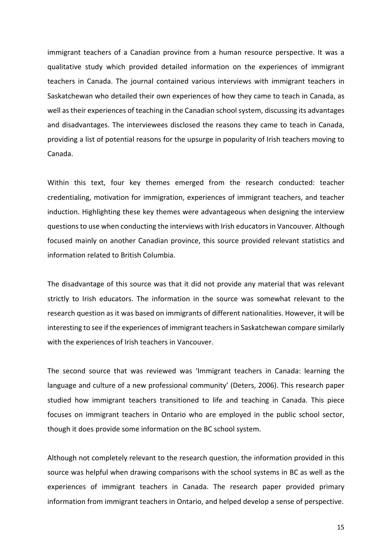immigrant teachers of a Canadian province from a human resource perspective. It was a qualitative study which provided detailed information on the experiences of immigrant teachers in Canada. The journal contained various interviews with immigrant teachers in Saskatchewan who detailed their own experiences of how they came to teach in Canada, as well as their experiences of teaching in the Canadian school system, discussing its advantages and disadvantages. The interviewees disclosed the reasons they came to teach in Canada, providing a list of potential reasons for the upsurge in popularity of Irish teachers moving to Canada.

Within this text, four key themes emerged from the research conducted: teacher credentialing, motivation for immigration, experiences of immigrant teachers, and teacher induction. Highlighting these key themes were advantageous when designing the interview questions to use when conducting the interviews with Irish educators in Vancouver. Although focused mainly on another Canadian province, this source provided relevant statistics and information related to British Columbia.

The disadvantage of this source was that it did not provide any material that was relevant strictly to Irish educators. The information in the source was somewhat relevant to the research question as it was based on immigrants of different nationalities. However, it will be interesting to see if the experiences of immigrant teachers in Saskatchewan compare similarly with the experiences of Irish teachers in Vancouver.

The second source that was reviewed was 'Immigrant teachers in Canada: learning the language and culture of a new professional community' (Deters, 2006). This research paper studied how immigrant teachers transitioned to life and teaching in Canada. This piece focuses on immigrant teachers in Ontario who are employed in the public school sector, though it does provide some information on the BC school system.

Although not completely relevant to the research question, the information provided in this source was helpful when drawing comparisons with the school systems in BC as well as the experiences of immigrant teachers in Canada. The research paper provided primary information from immigrant teachers in Ontario, and helped develop a sense of perspective.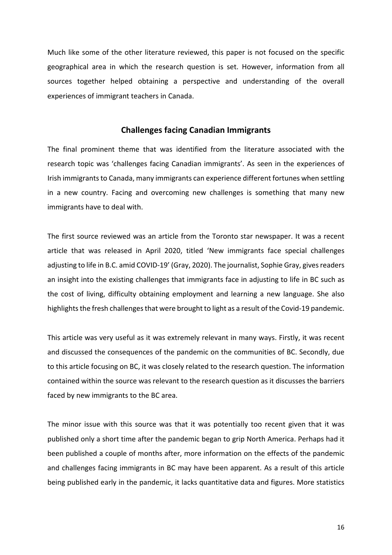Much like some of the other literature reviewed, this paper is not focused on the specific geographical area in which the research question is set. However, information from all sources together helped obtaining a perspective and understanding of the overall experiences of immigrant teachers in Canada.

## **Challenges facing Canadian Immigrants**

The final prominent theme that was identified from the literature associated with the research topic was 'challenges facing Canadian immigrants'. As seen in the experiences of Irish immigrants to Canada, many immigrants can experience different fortunes when settling in a new country. Facing and overcoming new challenges is something that many new immigrants have to deal with.

The first source reviewed was an article from the Toronto star newspaper. It was a recent article that was released in April 2020, titled 'New immigrants face special challenges adjusting to life in B.C. amid COVID-19' (Gray, 2020). The journalist, Sophie Gray, gives readers an insight into the existing challenges that immigrants face in adjusting to life in BC such as the cost of living, difficulty obtaining employment and learning a new language. She also highlights the fresh challenges that were brought to light as a result of the Covid-19 pandemic.

This article was very useful as it was extremely relevant in many ways. Firstly, it was recent and discussed the consequences of the pandemic on the communities of BC. Secondly, due to this article focusing on BC, it was closely related to the research question. The information contained within the source was relevant to the research question as it discusses the barriers faced by new immigrants to the BC area.

The minor issue with this source was that it was potentially too recent given that it was published only a short time after the pandemic began to grip North America. Perhaps had it been published a couple of months after, more information on the effects of the pandemic and challenges facing immigrants in BC may have been apparent. As a result of this article being published early in the pandemic, it lacks quantitative data and figures. More statistics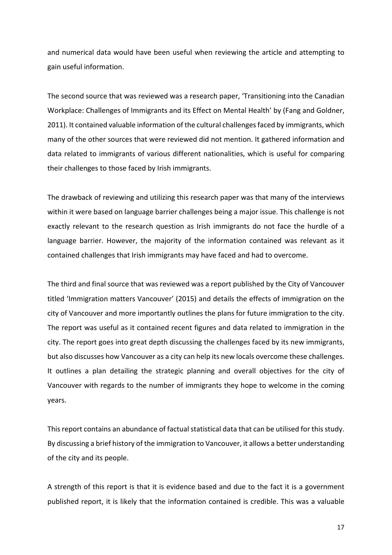and numerical data would have been useful when reviewing the article and attempting to gain useful information.

The second source that was reviewed was a research paper, 'Transitioning into the Canadian Workplace: Challenges of Immigrants and its Effect on Mental Health' by (Fang and Goldner, 2011). It contained valuable information of the cultural challenges faced by immigrants, which many of the other sources that were reviewed did not mention. It gathered information and data related to immigrants of various different nationalities, which is useful for comparing their challenges to those faced by Irish immigrants.

The drawback of reviewing and utilizing this research paper was that many of the interviews within it were based on language barrier challenges being a major issue. This challenge is not exactly relevant to the research question as Irish immigrants do not face the hurdle of a language barrier. However, the majority of the information contained was relevant as it contained challenges that Irish immigrants may have faced and had to overcome.

The third and final source that was reviewed was a report published by the City of Vancouver titled 'Immigration matters Vancouver' (2015) and details the effects of immigration on the city of Vancouver and more importantly outlines the plans for future immigration to the city. The report was useful as it contained recent figures and data related to immigration in the city. The report goes into great depth discussing the challenges faced by its new immigrants, but also discusses how Vancouver as a city can help its new locals overcome these challenges. It outlines a plan detailing the strategic planning and overall objectives for the city of Vancouver with regards to the number of immigrants they hope to welcome in the coming years.

This report contains an abundance of factual statistical data that can be utilised for this study. By discussing a brief history of the immigration to Vancouver, it allows a better understanding of the city and its people.

A strength of this report is that it is evidence based and due to the fact it is a government published report, it is likely that the information contained is credible. This was a valuable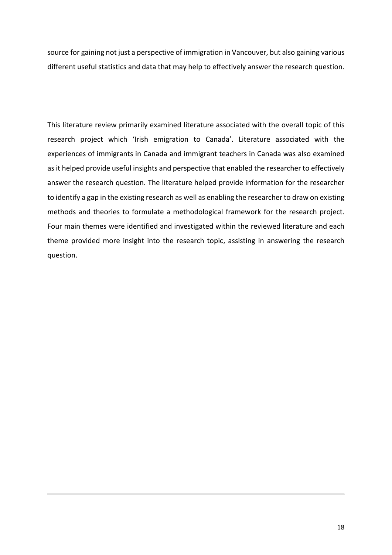source for gaining not just a perspective of immigration in Vancouver, but also gaining various different useful statistics and data that may help to effectively answer the research question.

This literature review primarily examined literature associated with the overall topic of this research project which 'Irish emigration to Canada'. Literature associated with the experiences of immigrants in Canada and immigrant teachers in Canada was also examined as it helped provide useful insights and perspective that enabled the researcher to effectively answer the research question. The literature helped provide information for the researcher to identify a gap in the existing research as well as enabling the researcher to draw on existing methods and theories to formulate a methodological framework for the research project. Four main themes were identified and investigated within the reviewed literature and each theme provided more insight into the research topic, assisting in answering the research question.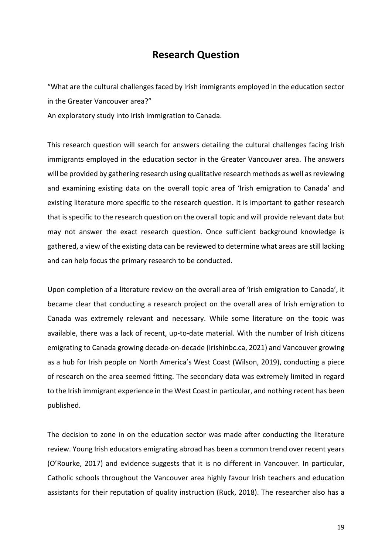## **Research Question**

"What are the cultural challenges faced by Irish immigrants employed in the education sector in the Greater Vancouver area?"

An exploratory study into Irish immigration to Canada.

This research question will search for answers detailing the cultural challenges facing Irish immigrants employed in the education sector in the Greater Vancouver area. The answers will be provided by gathering research using qualitative research methods as well as reviewing and examining existing data on the overall topic area of 'Irish emigration to Canada' and existing literature more specific to the research question. It is important to gather research that is specific to the research question on the overall topic and will provide relevant data but may not answer the exact research question. Once sufficient background knowledge is gathered, a view of the existing data can be reviewed to determine what areas are still lacking and can help focus the primary research to be conducted.

Upon completion of a literature review on the overall area of 'Irish emigration to Canada', it became clear that conducting a research project on the overall area of Irish emigration to Canada was extremely relevant and necessary. While some literature on the topic was available, there was a lack of recent, up-to-date material. With the number of Irish citizens emigrating to Canada growing decade-on-decade (Irishinbc.ca, 2021) and Vancouver growing as a hub for Irish people on North America's West Coast (Wilson, 2019), conducting a piece of research on the area seemed fitting. The secondary data was extremely limited in regard to the Irish immigrant experience in the West Coast in particular, and nothing recent has been published.

The decision to zone in on the education sector was made after conducting the literature review. Young Irish educators emigrating abroad has been a common trend over recent years (O'Rourke, 2017) and evidence suggests that it is no different in Vancouver. In particular, Catholic schools throughout the Vancouver area highly favour Irish teachers and education assistants for their reputation of quality instruction (Ruck, 2018). The researcher also has a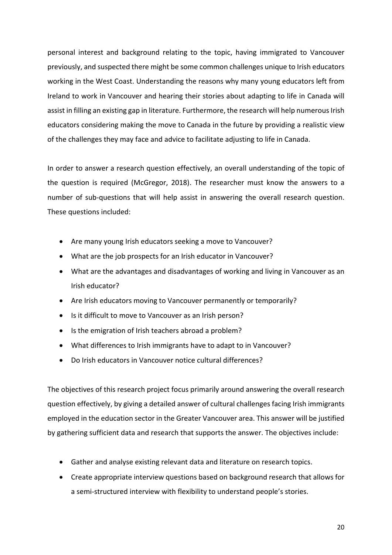personal interest and background relating to the topic, having immigrated to Vancouver previously, and suspected there might be some common challenges unique to Irish educators working in the West Coast. Understanding the reasons why many young educators left from Ireland to work in Vancouver and hearing their stories about adapting to life in Canada will assist in filling an existing gap in literature. Furthermore, the research will help numerous Irish educators considering making the move to Canada in the future by providing a realistic view of the challenges they may face and advice to facilitate adjusting to life in Canada.

In order to answer a research question effectively, an overall understanding of the topic of the question is required (McGregor, 2018). The researcher must know the answers to a number of sub-questions that will help assist in answering the overall research question. These questions included:

- Are many young Irish educators seeking a move to Vancouver?
- What are the job prospects for an Irish educator in Vancouver?
- What are the advantages and disadvantages of working and living in Vancouver as an Irish educator?
- Are Irish educators moving to Vancouver permanently or temporarily?
- Is it difficult to move to Vancouver as an Irish person?
- Is the emigration of Irish teachers abroad a problem?
- What differences to Irish immigrants have to adapt to in Vancouver?
- Do Irish educators in Vancouver notice cultural differences?

The objectives of this research project focus primarily around answering the overall research question effectively, by giving a detailed answer of cultural challenges facing Irish immigrants employed in the education sector in the Greater Vancouver area. This answer will be justified by gathering sufficient data and research that supports the answer. The objectives include:

- Gather and analyse existing relevant data and literature on research topics.
- Create appropriate interview questions based on background research that allows for a semi-structured interview with flexibility to understand people's stories.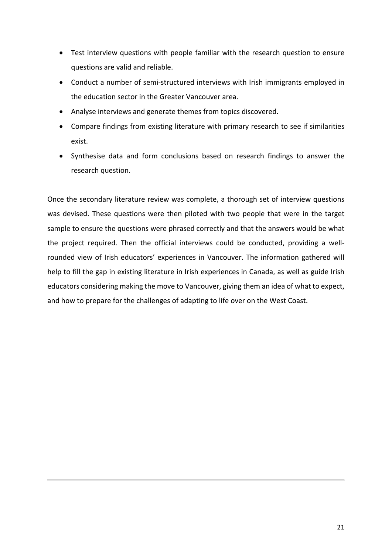- Test interview questions with people familiar with the research question to ensure questions are valid and reliable.
- Conduct a number of semi-structured interviews with Irish immigrants employed in the education sector in the Greater Vancouver area.
- Analyse interviews and generate themes from topics discovered.
- Compare findings from existing literature with primary research to see if similarities exist.
- Synthesise data and form conclusions based on research findings to answer the research question.

Once the secondary literature review was complete, a thorough set of interview questions was devised. These questions were then piloted with two people that were in the target sample to ensure the questions were phrased correctly and that the answers would be what the project required. Then the official interviews could be conducted, providing a wellrounded view of Irish educators' experiences in Vancouver. The information gathered will help to fill the gap in existing literature in Irish experiences in Canada, as well as guide Irish educators considering making the move to Vancouver, giving them an idea of what to expect, and how to prepare for the challenges of adapting to life over on the West Coast.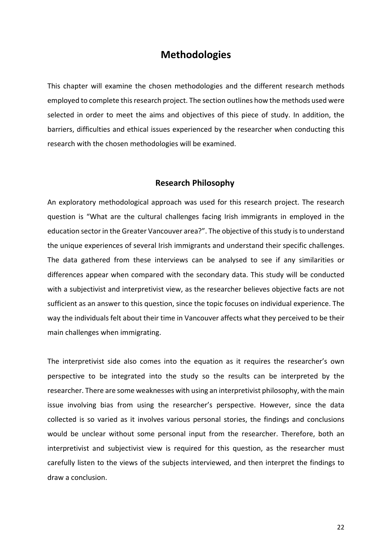## **Methodologies**

This chapter will examine the chosen methodologies and the different research methods employed to complete this research project. The section outlines how the methods used were selected in order to meet the aims and objectives of this piece of study. In addition, the barriers, difficulties and ethical issues experienced by the researcher when conducting this research with the chosen methodologies will be examined.

#### **Research Philosophy**

An exploratory methodological approach was used for this research project. The research question is "What are the cultural challenges facing Irish immigrants in employed in the education sector in the Greater Vancouver area?". The objective of this study is to understand the unique experiences of several Irish immigrants and understand their specific challenges. The data gathered from these interviews can be analysed to see if any similarities or differences appear when compared with the secondary data. This study will be conducted with a subjectivist and interpretivist view, as the researcher believes objective facts are not sufficient as an answer to this question, since the topic focuses on individual experience. The way the individuals felt about their time in Vancouver affects what they perceived to be their main challenges when immigrating.

The interpretivist side also comes into the equation as it requires the researcher's own perspective to be integrated into the study so the results can be interpreted by the researcher. There are some weaknesses with using an interpretivist philosophy, with the main issue involving bias from using the researcher's perspective. However, since the data collected is so varied as it involves various personal stories, the findings and conclusions would be unclear without some personal input from the researcher. Therefore, both an interpretivist and subjectivist view is required for this question, as the researcher must carefully listen to the views of the subjects interviewed, and then interpret the findings to draw a conclusion.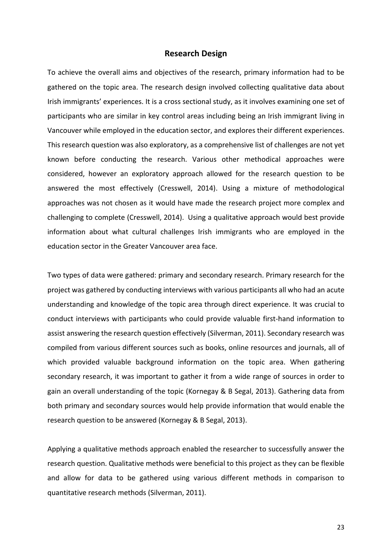#### **Research Design**

To achieve the overall aims and objectives of the research, primary information had to be gathered on the topic area. The research design involved collecting qualitative data about Irish immigrants' experiences. It is a cross sectional study, as it involves examining one set of participants who are similar in key control areas including being an Irish immigrant living in Vancouver while employed in the education sector, and explores their different experiences. This research question was also exploratory, as a comprehensive list of challenges are not yet known before conducting the research. Various other methodical approaches were considered, however an exploratory approach allowed for the research question to be answered the most effectively (Cresswell, 2014). Using a mixture of methodological approaches was not chosen as it would have made the research project more complex and challenging to complete (Cresswell, 2014). Using a qualitative approach would best provide information about what cultural challenges Irish immigrants who are employed in the education sector in the Greater Vancouver area face.

Two types of data were gathered: primary and secondary research. Primary research for the project was gathered by conducting interviews with various participants all who had an acute understanding and knowledge of the topic area through direct experience. It was crucial to conduct interviews with participants who could provide valuable first-hand information to assist answering the research question effectively (Silverman, 2011). Secondary research was compiled from various different sources such as books, online resources and journals, all of which provided valuable background information on the topic area. When gathering secondary research, it was important to gather it from a wide range of sources in order to gain an overall understanding of the topic (Kornegay & B Segal, 2013). Gathering data from both primary and secondary sources would help provide information that would enable the research question to be answered (Kornegay & B Segal, 2013).

Applying a qualitative methods approach enabled the researcher to successfully answer the research question. Qualitative methods were beneficial to this project as they can be flexible and allow for data to be gathered using various different methods in comparison to quantitative research methods (Silverman, 2011).

23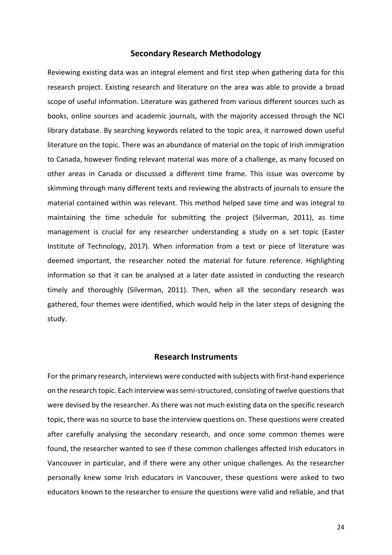### **Secondary Research Methodology**

Reviewing existing data was an integral element and first step when gathering data for this research project. Existing research and literature on the area was able to provide a broad scope of useful information. Literature was gathered from various different sources such as books, online sources and academic journals, with the majority accessed through the NCI library database. By searching keywords related to the topic area, it narrowed down useful literature on the topic. There was an abundance of material on the topic of Irish immigration to Canada, however finding relevant material was more of a challenge, as many focused on other areas in Canada or discussed a different time frame. This issue was overcome by skimming through many different texts and reviewing the abstracts of journals to ensure the material contained within was relevant. This method helped save time and was integral to maintaining the time schedule for submitting the project (Silverman, 2011), as time management is crucial for any researcher understanding a study on a set topic (Easter Institute of Technology, 2017). When information from a text or piece of literature was deemed important, the researcher noted the material for future reference. Highlighting information so that it can be analysed at a later date assisted in conducting the research timely and thoroughly (Silverman, 2011). Then, when all the secondary research was gathered, four themes were identified, which would help in the later steps of designing the study.

### **Research Instruments**

For the primary research, interviews were conducted with subjects with first-hand experience on the research topic. Each interview was semi-structured, consisting of twelve questions that were devised by the researcher. As there was not much existing data on the specific research topic, there was no source to base the interview questions on. These questions were created after carefully analysing the secondary research, and once some common themes were found, the researcher wanted to see if these common challenges affected Irish educators in Vancouver in particular, and if there were any other unique challenges. As the researcher personally knew some Irish educators in Vancouver, these questions were asked to two educators known to the researcher to ensure the questions were valid and reliable, and that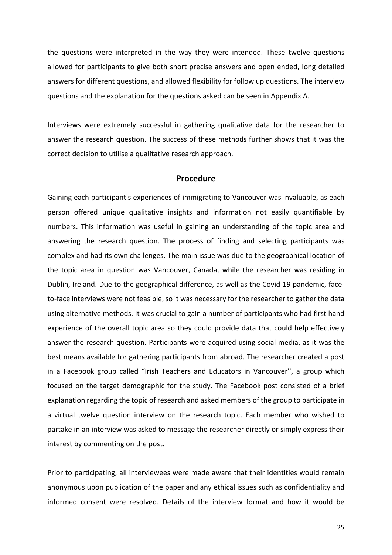the questions were interpreted in the way they were intended. These twelve questions allowed for participants to give both short precise answers and open ended, long detailed answers for different questions, and allowed flexibility for follow up questions. The interview questions and the explanation for the questions asked can be seen in Appendix A.

Interviews were extremely successful in gathering qualitative data for the researcher to answer the research question. The success of these methods further shows that it was the correct decision to utilise a qualitative research approach.

## **Procedure**

Gaining each participant's experiences of immigrating to Vancouver was invaluable, as each person offered unique qualitative insights and information not easily quantifiable by numbers. This information was useful in gaining an understanding of the topic area and answering the research question. The process of finding and selecting participants was complex and had its own challenges. The main issue was due to the geographical location of the topic area in question was Vancouver, Canada, while the researcher was residing in Dublin, Ireland. Due to the geographical difference, as well as the Covid-19 pandemic, faceto-face interviews were not feasible, so it was necessary for the researcher to gather the data using alternative methods. It was crucial to gain a number of participants who had first hand experience of the overall topic area so they could provide data that could help effectively answer the research question. Participants were acquired using social media, as it was the best means available for gathering participants from abroad. The researcher created a post in a Facebook group called "Irish Teachers and Educators in Vancouver'', a group which focused on the target demographic for the study. The Facebook post consisted of a brief explanation regarding the topic of research and asked members of the group to participate in a virtual twelve question interview on the research topic. Each member who wished to partake in an interview was asked to message the researcher directly or simply express their interest by commenting on the post.

Prior to participating, all interviewees were made aware that their identities would remain anonymous upon publication of the paper and any ethical issues such as confidentiality and informed consent were resolved. Details of the interview format and how it would be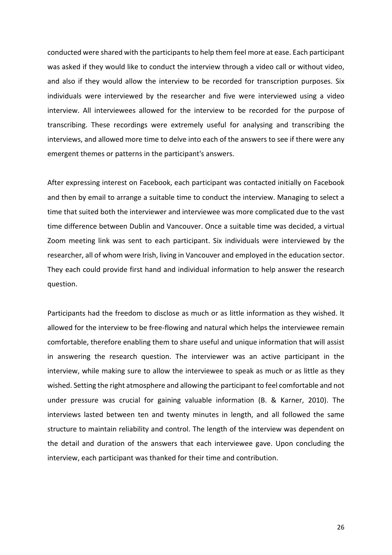conducted were shared with the participants to help them feel more at ease. Each participant was asked if they would like to conduct the interview through a video call or without video, and also if they would allow the interview to be recorded for transcription purposes. Six individuals were interviewed by the researcher and five were interviewed using a video interview. All interviewees allowed for the interview to be recorded for the purpose of transcribing. These recordings were extremely useful for analysing and transcribing the interviews, and allowed more time to delve into each of the answers to see if there were any emergent themes or patterns in the participant's answers.

After expressing interest on Facebook, each participant was contacted initially on Facebook and then by email to arrange a suitable time to conduct the interview. Managing to select a time that suited both the interviewer and interviewee was more complicated due to the vast time difference between Dublin and Vancouver. Once a suitable time was decided, a virtual Zoom meeting link was sent to each participant. Six individuals were interviewed by the researcher, all of whom were Irish, living in Vancouver and employed in the education sector. They each could provide first hand and individual information to help answer the research question.

Participants had the freedom to disclose as much or as little information as they wished. It allowed for the interview to be free-flowing and natural which helps the interviewee remain comfortable, therefore enabling them to share useful and unique information that will assist in answering the research question. The interviewer was an active participant in the interview, while making sure to allow the interviewee to speak as much or as little as they wished. Setting the right atmosphere and allowing the participant to feel comfortable and not under pressure was crucial for gaining valuable information (B. & Karner, 2010). The interviews lasted between ten and twenty minutes in length, and all followed the same structure to maintain reliability and control. The length of the interview was dependent on the detail and duration of the answers that each interviewee gave. Upon concluding the interview, each participant was thanked for their time and contribution.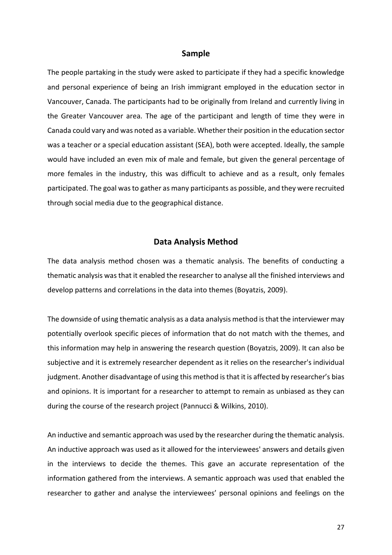#### **Sample**

The people partaking in the study were asked to participate if they had a specific knowledge and personal experience of being an Irish immigrant employed in the education sector in Vancouver, Canada. The participants had to be originally from Ireland and currently living in the Greater Vancouver area. The age of the participant and length of time they were in Canada could vary and was noted as a variable. Whether their position in the education sector was a teacher or a special education assistant (SEA), both were accepted. Ideally, the sample would have included an even mix of male and female, but given the general percentage of more females in the industry, this was difficult to achieve and as a result, only females participated. The goal was to gather as many participants as possible, and they were recruited through social media due to the geographical distance.

## **Data Analysis Method**

The data analysis method chosen was a thematic analysis. The benefits of conducting a thematic analysis was that it enabled the researcher to analyse all the finished interviews and develop patterns and correlations in the data into themes (Boyatzis, 2009).

The downside of using thematic analysis as a data analysis method is that the interviewer may potentially overlook specific pieces of information that do not match with the themes, and this information may help in answering the research question (Boyatzis, 2009). It can also be subjective and it is extremely researcher dependent as it relies on the researcher's individual judgment. Another disadvantage of using this method is that it is affected by researcher's bias and opinions. It is important for a researcher to attempt to remain as unbiased as they can during the course of the research project (Pannucci & Wilkins, 2010).

An inductive and semantic approach was used by the researcher during the thematic analysis. An inductive approach was used as it allowed for the interviewees' answers and details given in the interviews to decide the themes. This gave an accurate representation of the information gathered from the interviews. A semantic approach was used that enabled the researcher to gather and analyse the interviewees' personal opinions and feelings on the

27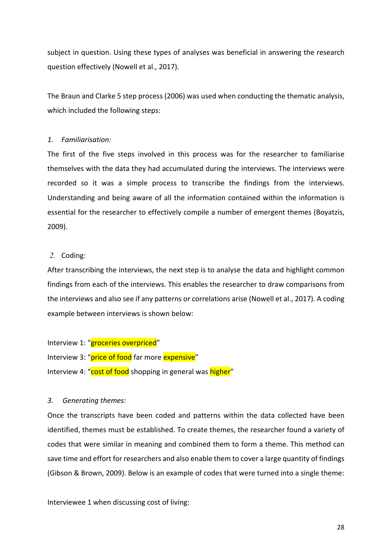subject in question. Using these types of analyses was beneficial in answering the research question effectively (Nowell et al., 2017).

The Braun and Clarke 5 step process (2006) was used when conducting the thematic analysis, which included the following steps:

#### *1. Familiarisation:*

The first of the five steps involved in this process was for the researcher to familiarise themselves with the data they had accumulated during the interviews. The interviews were recorded so it was a simple process to transcribe the findings from the interviews. Understanding and being aware of all the information contained within the information is essential for the researcher to effectively compile a number of emergent themes (Boyatzis, 2009).

#### *2.* Coding:

After transcribing the interviews, the next step is to analyse the data and highlight common findings from each of the interviews. This enables the researcher to draw comparisons from the interviews and also see if any patterns or correlations arise (Nowell et al., 2017). A coding example between interviews is shown below:

Interview 1: "groceries overpriced"

Interview 3: "price of food far more expensive"

Interview 4: "cost of food shopping in general was higher"

### *3. Generating themes:*

Once the transcripts have been coded and patterns within the data collected have been identified, themes must be established. To create themes, the researcher found a variety of codes that were similar in meaning and combined them to form a theme. This method can save time and effort for researchers and also enable them to cover a large quantity of findings (Gibson & Brown, 2009). Below is an example of codes that were turned into a single theme:

Interviewee 1 when discussing cost of living: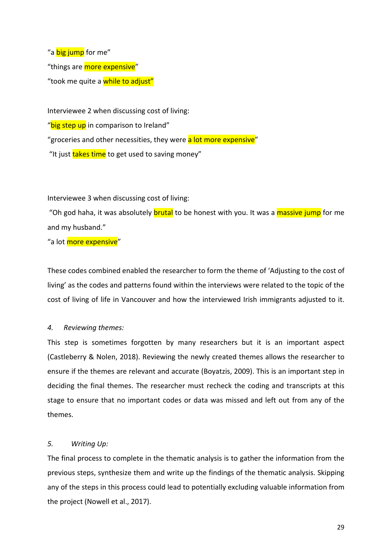"a big jump for me" "things are more expensive" "took me quite a while to adjust"

Interviewee 2 when discussing cost of living: "big step up in comparison to Ireland" "groceries and other necessities, they were a lot more expensive" "It just takes time to get used to saving money"

Interviewee 3 when discussing cost of living:

"Oh god haha, it was absolutely **brutal** to be honest with you. It was a massive jump for me and my husband."

"a lot more expensive"

These codes combined enabled the researcher to form the theme of 'Adjusting to the cost of living' as the codes and patterns found within the interviews were related to the topic of the cost of living of life in Vancouver and how the interviewed Irish immigrants adjusted to it.

### *4. Reviewing themes:*

This step is sometimes forgotten by many researchers but it is an important aspect (Castleberry & Nolen, 2018). Reviewing the newly created themes allows the researcher to ensure if the themes are relevant and accurate (Boyatzis, 2009). This is an important step in deciding the final themes. The researcher must recheck the coding and transcripts at this stage to ensure that no important codes or data was missed and left out from any of the themes.

## *5. Writing Up:*

The final process to complete in the thematic analysis is to gather the information from the previous steps, synthesize them and write up the findings of the thematic analysis. Skipping any of the steps in this process could lead to potentially excluding valuable information from the project (Nowell et al., 2017).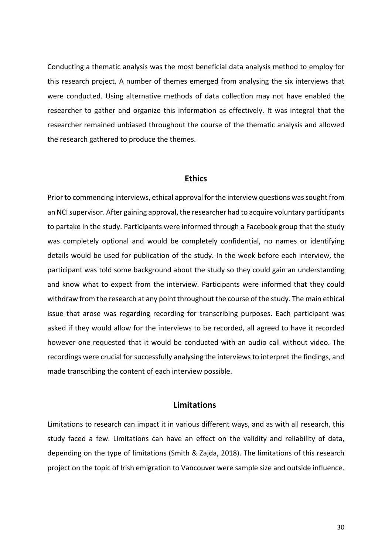Conducting a thematic analysis was the most beneficial data analysis method to employ for this research project. A number of themes emerged from analysing the six interviews that were conducted. Using alternative methods of data collection may not have enabled the researcher to gather and organize this information as effectively. It was integral that the researcher remained unbiased throughout the course of the thematic analysis and allowed the research gathered to produce the themes.

#### **Ethics**

Prior to commencing interviews, ethical approval for the interview questions was sought from an NCI supervisor. After gaining approval, the researcher had to acquire voluntary participants to partake in the study. Participants were informed through a Facebook group that the study was completely optional and would be completely confidential, no names or identifying details would be used for publication of the study. In the week before each interview, the participant was told some background about the study so they could gain an understanding and know what to expect from the interview. Participants were informed that they could withdraw from the research at any point throughout the course of the study. The main ethical issue that arose was regarding recording for transcribing purposes. Each participant was asked if they would allow for the interviews to be recorded, all agreed to have it recorded however one requested that it would be conducted with an audio call without video. The recordings were crucial for successfully analysing the interviews to interpret the findings, and made transcribing the content of each interview possible.

#### **Limitations**

Limitations to research can impact it in various different ways, and as with all research, this study faced a few. Limitations can have an effect on the validity and reliability of data, depending on the type of limitations (Smith & Zajda, 2018). The limitations of this research project on the topic of Irish emigration to Vancouver were sample size and outside influence.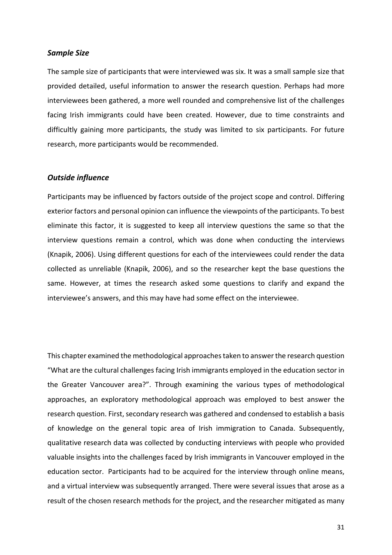#### *Sample Size*

The sample size of participants that were interviewed was six. It was a small sample size that provided detailed, useful information to answer the research question. Perhaps had more interviewees been gathered, a more well rounded and comprehensive list of the challenges facing Irish immigrants could have been created. However, due to time constraints and difficultly gaining more participants, the study was limited to six participants. For future research, more participants would be recommended.

### *Outside influence*

Participants may be influenced by factors outside of the project scope and control. Differing exterior factors and personal opinion can influence the viewpoints of the participants. To best eliminate this factor, it is suggested to keep all interview questions the same so that the interview questions remain a control, which was done when conducting the interviews (Knapik, 2006). Using different questions for each of the interviewees could render the data collected as unreliable (Knapik, 2006), and so the researcher kept the base questions the same. However, at times the research asked some questions to clarify and expand the interviewee's answers, and this may have had some effect on the interviewee.

This chapter examined the methodological approaches taken to answer the research question "What are the cultural challenges facing Irish immigrants employed in the education sector in the Greater Vancouver area?". Through examining the various types of methodological approaches, an exploratory methodological approach was employed to best answer the research question. First, secondary research was gathered and condensed to establish a basis of knowledge on the general topic area of Irish immigration to Canada. Subsequently, qualitative research data was collected by conducting interviews with people who provided valuable insights into the challenges faced by Irish immigrants in Vancouver employed in the education sector. Participants had to be acquired for the interview through online means, and a virtual interview was subsequently arranged. There were several issues that arose as a result of the chosen research methods for the project, and the researcher mitigated as many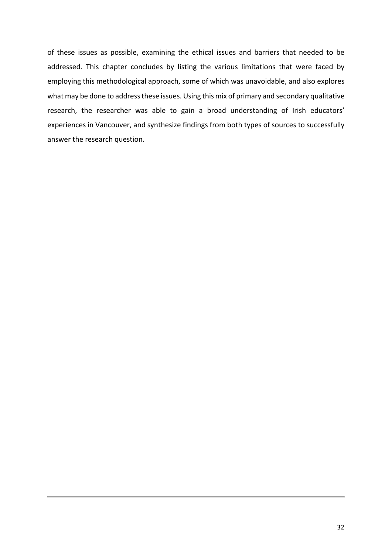of these issues as possible, examining the ethical issues and barriers that needed to be addressed. This chapter concludes by listing the various limitations that were faced by employing this methodological approach, some of which was unavoidable, and also explores what may be done to address these issues. Using this mix of primary and secondary qualitative research, the researcher was able to gain a broad understanding of Irish educators' experiences in Vancouver, and synthesize findings from both types of sources to successfully answer the research question.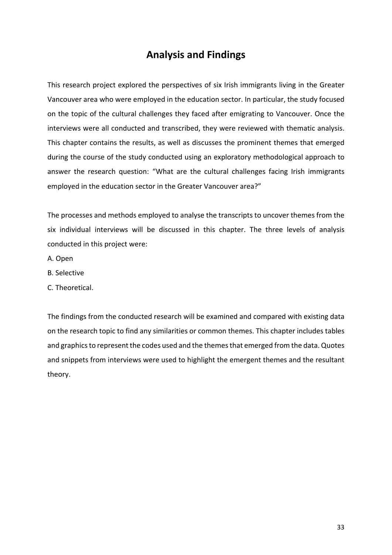## **Analysis and Findings**

This research project explored the perspectives of six Irish immigrants living in the Greater Vancouver area who were employed in the education sector. In particular, the study focused on the topic of the cultural challenges they faced after emigrating to Vancouver. Once the interviews were all conducted and transcribed, they were reviewed with thematic analysis. This chapter contains the results, as well as discusses the prominent themes that emerged during the course of the study conducted using an exploratory methodological approach to answer the research question: "What are the cultural challenges facing Irish immigrants employed in the education sector in the Greater Vancouver area?"

The processes and methods employed to analyse the transcripts to uncover themes from the six individual interviews will be discussed in this chapter. The three levels of analysis conducted in this project were:

- A. Open
- B. Selective
- C. Theoretical.

The findings from the conducted research will be examined and compared with existing data on the research topic to find any similarities or common themes. This chapter includes tables and graphics to represent the codes used and the themes that emerged from the data. Quotes and snippets from interviews were used to highlight the emergent themes and the resultant theory.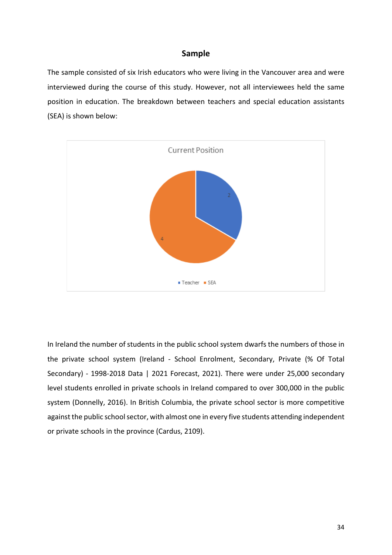## **Sample**

The sample consisted of six Irish educators who were living in the Vancouver area and were interviewed during the course of this study. However, not all interviewees held the same position in education. The breakdown between teachers and special education assistants (SEA) is shown below:



In Ireland the number of students in the public school system dwarfs the numbers of those in the private school system (Ireland - School Enrolment, Secondary, Private (% Of Total Secondary) - 1998-2018 Data | 2021 Forecast, 2021). There were under 25,000 secondary level students enrolled in private schools in Ireland compared to over 300,000 in the public system (Donnelly, 2016). In British Columbia, the private school sector is more competitive against the public school sector, with almost one in every five students attending independent or private schools in the province (Cardus, 2109).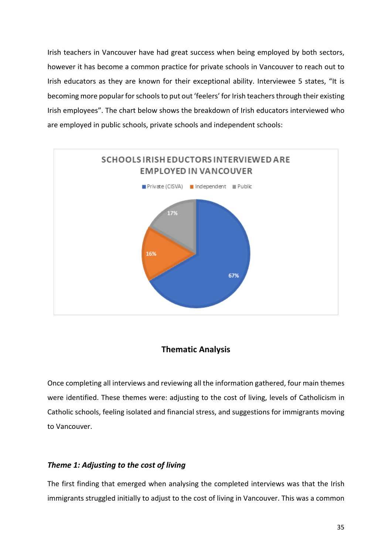Irish teachers in Vancouver have had great success when being employed by both sectors, however it has become a common practice for private schools in Vancouver to reach out to Irish educators as they are known for their exceptional ability. Interviewee 5 states, "It is becoming more popular for schools to put out 'feelers' for Irish teachers through their existing Irish employees". The chart below shows the breakdown of Irish educators interviewed who are employed in public schools, private schools and independent schools:



## **Thematic Analysis**

Once completing all interviews and reviewing all the information gathered, four main themes were identified. These themes were: adjusting to the cost of living, levels of Catholicism in Catholic schools, feeling isolated and financial stress, and suggestions for immigrants moving to Vancouver.

## *Theme 1: Adjusting to the cost of living*

The first finding that emerged when analysing the completed interviews was that the Irish immigrants struggled initially to adjust to the cost of living in Vancouver. This was a common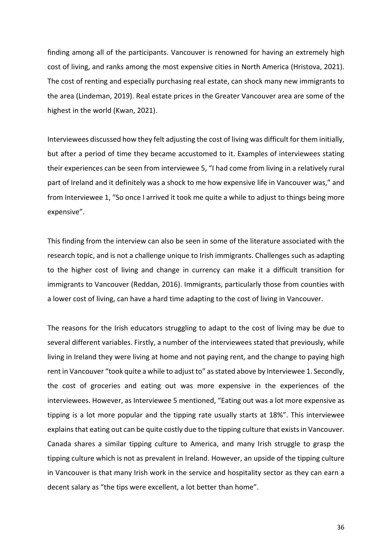finding among all of the participants. Vancouver is renowned for having an extremely high cost of living, and ranks among the most expensive cities in North America (Hristova, 2021). The cost of renting and especially purchasing real estate, can shock many new immigrants to the area (Lindeman, 2019). Real estate prices in the Greater Vancouver area are some of the highest in the world (Kwan, 2021).

Interviewees discussed how they felt adjusting the cost of living was difficult for them initially, but after a period of time they became accustomed to it. Examples of interviewees stating their experiences can be seen from interviewee 5, "I had come from living in a relatively rural part of Ireland and it definitely was a shock to me how expensive life in Vancouver was," and from Interviewee 1, "So once I arrived it took me quite a while to adjust to things being more expensive".

This finding from the interview can also be seen in some of the literature associated with the research topic, and is not a challenge unique to Irish immigrants. Challenges such as adapting to the higher cost of living and change in currency can make it a difficult transition for immigrants to Vancouver (Reddan, 2016). Immigrants, particularly those from counties with a lower cost of living, can have a hard time adapting to the cost of living in Vancouver.

The reasons for the Irish educators struggling to adapt to the cost of living may be due to several different variables. Firstly, a number of the interviewees stated that previously, while living in Ireland they were living at home and not paying rent, and the change to paying high rent in Vancouver "took quite a while to adjust to" as stated above by Interviewee 1. Secondly, the cost of groceries and eating out was more expensive in the experiences of the interviewees. However, as Interviewee 5 mentioned, "Eating out was a lot more expensive as tipping is a lot more popular and the tipping rate usually starts at 18%". This interviewee explains that eating out can be quite costly due to the tipping culture that exists in Vancouver. Canada shares a similar tipping culture to America, and many Irish struggle to grasp the tipping culture which is not as prevalent in Ireland. However, an upside of the tipping culture in Vancouver is that many Irish work in the service and hospitality sector as they can earn a decent salary as "the tips were excellent, a lot better than home".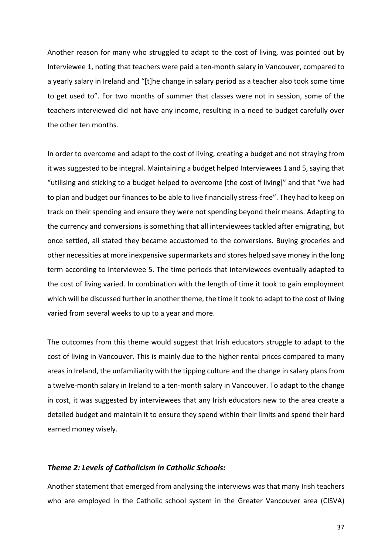Another reason for many who struggled to adapt to the cost of living, was pointed out by Interviewee 1, noting that teachers were paid a ten-month salary in Vancouver, compared to a yearly salary in Ireland and "[t]he change in salary period as a teacher also took some time to get used to". For two months of summer that classes were not in session, some of the teachers interviewed did not have any income, resulting in a need to budget carefully over the other ten months.

In order to overcome and adapt to the cost of living, creating a budget and not straying from it was suggested to be integral. Maintaining a budget helped Interviewees 1 and 5, saying that "utilising and sticking to a budget helped to overcome [the cost of living]" and that "we had to plan and budget our finances to be able to live financially stress-free". They had to keep on track on their spending and ensure they were not spending beyond their means. Adapting to the currency and conversions is something that all interviewees tackled after emigrating, but once settled, all stated they became accustomed to the conversions. Buying groceries and other necessities at more inexpensive supermarkets and stores helped save money in the long term according to Interviewee 5. The time periods that interviewees eventually adapted to the cost of living varied. In combination with the length of time it took to gain employment which will be discussed further in another theme, the time it took to adapt to the cost of living varied from several weeks to up to a year and more.

The outcomes from this theme would suggest that Irish educators struggle to adapt to the cost of living in Vancouver. This is mainly due to the higher rental prices compared to many areas in Ireland, the unfamiliarity with the tipping culture and the change in salary plans from a twelve-month salary in Ireland to a ten-month salary in Vancouver. To adapt to the change in cost, it was suggested by interviewees that any Irish educators new to the area create a detailed budget and maintain it to ensure they spend within their limits and spend their hard earned money wisely.

#### *Theme 2: Levels of Catholicism in Catholic Schools:*

Another statement that emerged from analysing the interviews was that many Irish teachers who are employed in the Catholic school system in the Greater Vancouver area (CISVA)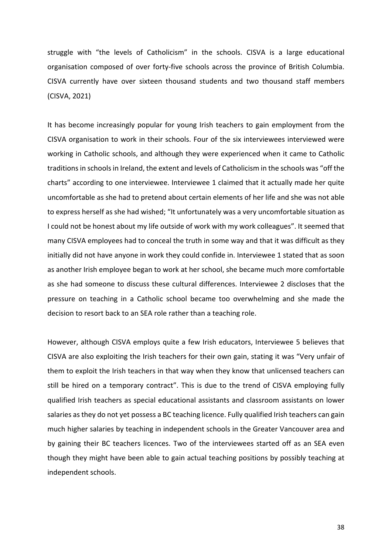struggle with "the levels of Catholicism" in the schools. CISVA is a large educational organisation composed of over forty-five schools across the province of British Columbia. CISVA currently have over sixteen thousand students and two thousand staff members (CISVA, 2021)

It has become increasingly popular for young Irish teachers to gain employment from the CISVA organisation to work in their schools. Four of the six interviewees interviewed were working in Catholic schools, and although they were experienced when it came to Catholic traditions in schools in Ireland, the extent and levels of Catholicism in the schools was "off the charts" according to one interviewee. Interviewee 1 claimed that it actually made her quite uncomfortable as she had to pretend about certain elements of her life and she was not able to express herself as she had wished; "It unfortunately was a very uncomfortable situation as I could not be honest about my life outside of work with my work colleagues". It seemed that many CISVA employees had to conceal the truth in some way and that it was difficult as they initially did not have anyone in work they could confide in. Interviewee 1 stated that as soon as another Irish employee began to work at her school, she became much more comfortable as she had someone to discuss these cultural differences. Interviewee 2 discloses that the pressure on teaching in a Catholic school became too overwhelming and she made the decision to resort back to an SEA role rather than a teaching role.

However, although CISVA employs quite a few Irish educators, Interviewee 5 believes that CISVA are also exploiting the Irish teachers for their own gain, stating it was "Very unfair of them to exploit the Irish teachers in that way when they know that unlicensed teachers can still be hired on a temporary contract". This is due to the trend of CISVA employing fully qualified Irish teachers as special educational assistants and classroom assistants on lower salaries as they do not yet possess a BC teaching licence. Fully qualified Irish teachers can gain much higher salaries by teaching in independent schools in the Greater Vancouver area and by gaining their BC teachers licences. Two of the interviewees started off as an SEA even though they might have been able to gain actual teaching positions by possibly teaching at independent schools.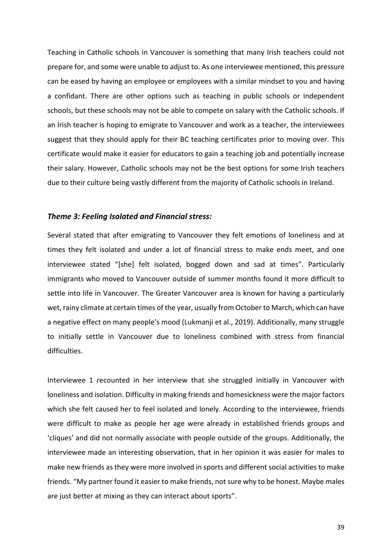Teaching in Catholic schools in Vancouver is something that many Irish teachers could not prepare for, and some were unable to adjust to. As one interviewee mentioned, this pressure can be eased by having an employee or employees with a similar mindset to you and having a confidant. There are other options such as teaching in public schools or independent schools, but these schools may not be able to compete on salary with the Catholic schools. If an Irish teacher is hoping to emigrate to Vancouver and work as a teacher, the interviewees suggest that they should apply for their BC teaching certificates prior to moving over. This certificate would make it easier for educators to gain a teaching job and potentially increase their salary. However, Catholic schools may not be the best options for some Irish teachers due to their culture being vastly different from the majority of Catholic schools in Ireland.

#### *Theme 3: Feeling Isolated and Financial stress:*

Several stated that after emigrating to Vancouver they felt emotions of loneliness and at times they felt isolated and under a lot of financial stress to make ends meet, and one interviewee stated "[she] felt isolated, bogged down and sad at times". Particularly immigrants who moved to Vancouver outside of summer months found it more difficult to settle into life in Vancouver. The Greater Vancouver area is known for having a particularly wet, rainy climate at certain times of the year, usually from October to March, which can have a negative effect on many people's mood (Lukmanji et al., 2019). Additionally, many struggle to initially settle in Vancouver due to loneliness combined with stress from financial difficulties.

Interviewee 1 recounted in her interview that she struggled initially in Vancouver with loneliness and isolation. Difficulty in making friends and homesickness were the major factors which she felt caused her to feel isolated and lonely. According to the interviewee, friends were difficult to make as people her age were already in established friends groups and 'cliques' and did not normally associate with people outside of the groups. Additionally, the interviewee made an interesting observation, that in her opinion it was easier for males to make new friends as they were more involved in sports and different social activities to make friends. "My partner found it easier to make friends, not sure why to be honest. Maybe males are just better at mixing as they can interact about sports".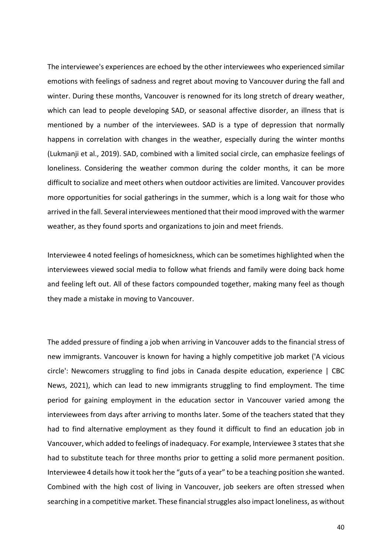The interviewee's experiences are echoed by the other interviewees who experienced similar emotions with feelings of sadness and regret about moving to Vancouver during the fall and winter. During these months, Vancouver is renowned for its long stretch of dreary weather, which can lead to people developing SAD, or seasonal affective disorder, an illness that is mentioned by a number of the interviewees. SAD is a type of depression that normally happens in correlation with changes in the weather, especially during the winter months (Lukmanji et al., 2019). SAD, combined with a limited social circle, can emphasize feelings of loneliness. Considering the weather common during the colder months, it can be more difficult to socialize and meet others when outdoor activities are limited. Vancouver provides more opportunities for social gatherings in the summer, which is a long wait for those who arrived in the fall. Several interviewees mentioned that their mood improved with the warmer weather, as they found sports and organizations to join and meet friends.

Interviewee 4 noted feelings of homesickness, which can be sometimes highlighted when the interviewees viewed social media to follow what friends and family were doing back home and feeling left out. All of these factors compounded together, making many feel as though they made a mistake in moving to Vancouver.

The added pressure of finding a job when arriving in Vancouver adds to the financial stress of new immigrants. Vancouver is known for having a highly competitive job market ('A vicious circle': Newcomers struggling to find jobs in Canada despite education, experience | CBC News, 2021), which can lead to new immigrants struggling to find employment. The time period for gaining employment in the education sector in Vancouver varied among the interviewees from days after arriving to months later. Some of the teachers stated that they had to find alternative employment as they found it difficult to find an education job in Vancouver, which added to feelings of inadequacy. For example, Interviewee 3 states that she had to substitute teach for three months prior to getting a solid more permanent position. Interviewee 4 details how it took her the "guts of a year" to be a teaching position she wanted. Combined with the high cost of living in Vancouver, job seekers are often stressed when searching in a competitive market. These financial struggles also impact loneliness, as without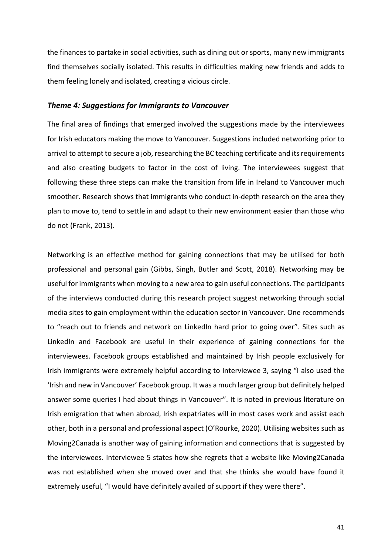the finances to partake in social activities, such as dining out or sports, many new immigrants find themselves socially isolated. This results in difficulties making new friends and adds to them feeling lonely and isolated, creating a vicious circle.

#### *Theme 4: Suggestions for Immigrants to Vancouver*

The final area of findings that emerged involved the suggestions made by the interviewees for Irish educators making the move to Vancouver. Suggestions included networking prior to arrival to attempt to secure a job, researching the BC teaching certificate and its requirements and also creating budgets to factor in the cost of living. The interviewees suggest that following these three steps can make the transition from life in Ireland to Vancouver much smoother. Research shows that immigrants who conduct in-depth research on the area they plan to move to, tend to settle in and adapt to their new environment easier than those who do not (Frank, 2013).

Networking is an effective method for gaining connections that may be utilised for both professional and personal gain (Gibbs, Singh, Butler and Scott, 2018). Networking may be useful for immigrants when moving to a new area to gain useful connections. The participants of the interviews conducted during this research project suggest networking through social media sites to gain employment within the education sector in Vancouver. One recommends to "reach out to friends and network on LinkedIn hard prior to going over". Sites such as LinkedIn and Facebook are useful in their experience of gaining connections for the interviewees. Facebook groups established and maintained by Irish people exclusively for Irish immigrants were extremely helpful according to Interviewee 3, saying "I also used the 'Irish and new in Vancouver' Facebook group. It was a much larger group but definitely helped answer some queries I had about things in Vancouver". It is noted in previous literature on Irish emigration that when abroad, Irish expatriates will in most cases work and assist each other, both in a personal and professional aspect (O'Rourke, 2020). Utilising websites such as Moving2Canada is another way of gaining information and connections that is suggested by the interviewees. Interviewee 5 states how she regrets that a website like Moving2Canada was not established when she moved over and that she thinks she would have found it extremely useful, "I would have definitely availed of support if they were there".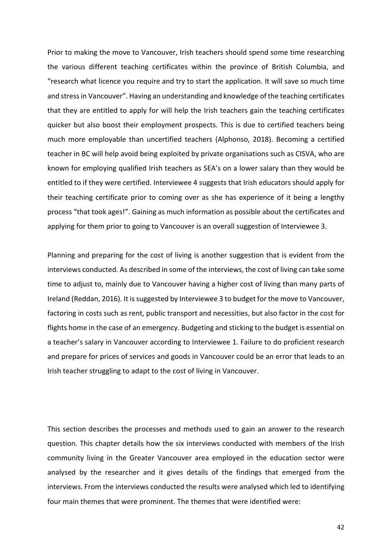Prior to making the move to Vancouver, Irish teachers should spend some time researching the various different teaching certificates within the province of British Columbia, and "research what licence you require and try to start the application. It will save so much time and stress in Vancouver". Having an understanding and knowledge of the teaching certificates that they are entitled to apply for will help the Irish teachers gain the teaching certificates quicker but also boost their employment prospects. This is due to certified teachers being much more employable than uncertified teachers (Alphonso, 2018). Becoming a certified teacher in BC will help avoid being exploited by private organisations such as CISVA, who are known for employing qualified Irish teachers as SEA's on a lower salary than they would be entitled to if they were certified. Interviewee 4 suggests that Irish educators should apply for their teaching certificate prior to coming over as she has experience of it being a lengthy process "that took ages!". Gaining as much information as possible about the certificates and applying for them prior to going to Vancouver is an overall suggestion of Interviewee 3.

Planning and preparing for the cost of living is another suggestion that is evident from the interviews conducted. As described in some of the interviews, the cost of living can take some time to adjust to, mainly due to Vancouver having a higher cost of living than many parts of Ireland (Reddan, 2016). It is suggested by Interviewee 3 to budget for the move to Vancouver, factoring in costs such as rent, public transport and necessities, but also factor in the cost for flights home in the case of an emergency. Budgeting and sticking to the budget is essential on a teacher's salary in Vancouver according to Interviewee 1. Failure to do proficient research and prepare for prices of services and goods in Vancouver could be an error that leads to an Irish teacher struggling to adapt to the cost of living in Vancouver.

This section describes the processes and methods used to gain an answer to the research question. This chapter details how the six interviews conducted with members of the Irish community living in the Greater Vancouver area employed in the education sector were analysed by the researcher and it gives details of the findings that emerged from the interviews. From the interviews conducted the results were analysed which led to identifying four main themes that were prominent. The themes that were identified were:

42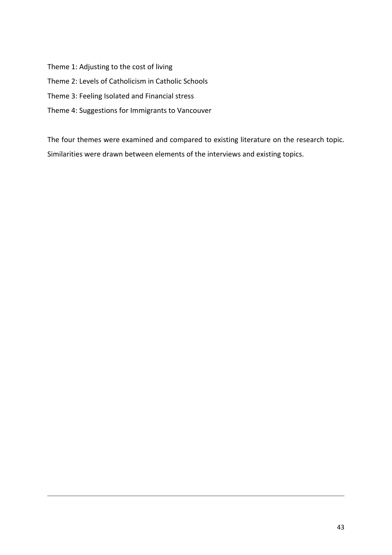Theme 1: Adjusting to the cost of living Theme 2: Levels of Catholicism in Catholic Schools Theme 3: Feeling Isolated and Financial stress Theme 4: Suggestions for Immigrants to Vancouver

The four themes were examined and compared to existing literature on the research topic. Similarities were drawn between elements of the interviews and existing topics.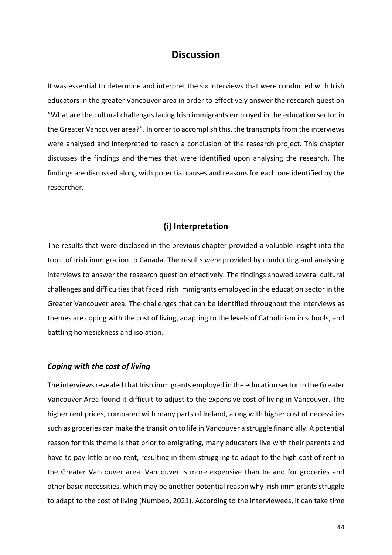## **Discussion**

It was essential to determine and interpret the six interviews that were conducted with Irish educators in the greater Vancouver area in order to effectively answer the research question "What are the cultural challenges facing Irish immigrants employed in the education sector in the Greater Vancouver area?". In order to accomplish this, the transcripts from the interviews were analysed and interpreted to reach a conclusion of the research project. This chapter discusses the findings and themes that were identified upon analysing the research. The findings are discussed along with potential causes and reasons for each one identified by the researcher.

## **(i) Interpretation**

The results that were disclosed in the previous chapter provided a valuable insight into the topic of Irish immigration to Canada. The results were provided by conducting and analysing interviews to answer the research question effectively. The findings showed several cultural challenges and difficulties that faced Irish immigrants employed in the education sector in the Greater Vancouver area. The challenges that can be identified throughout the interviews as themes are coping with the cost of living, adapting to the levels of Catholicism in schools, and battling homesickness and isolation.

#### *Coping with the cost of living*

The interviews revealed that Irish immigrants employed in the education sector in the Greater Vancouver Area found it difficult to adjust to the expensive cost of living in Vancouver. The higher rent prices, compared with many parts of Ireland, along with higher cost of necessities such as groceries can make the transition to life in Vancouver a struggle financially. A potential reason for this theme is that prior to emigrating, many educators live with their parents and have to pay little or no rent, resulting in them struggling to adapt to the high cost of rent in the Greater Vancouver area. Vancouver is more expensive than Ireland for groceries and other basic necessities, which may be another potential reason why Irish immigrants struggle to adapt to the cost of living (Numbeo, 2021). According to the interviewees, it can take time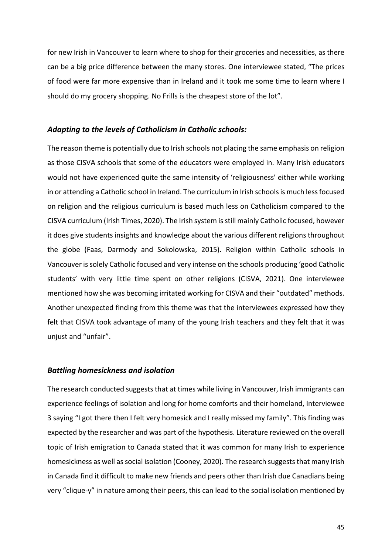for new Irish in Vancouver to learn where to shop for their groceries and necessities, as there can be a big price difference between the many stores. One interviewee stated, "The prices of food were far more expensive than in Ireland and it took me some time to learn where I should do my grocery shopping. No Frills is the cheapest store of the lot".

#### *Adapting to the levels of Catholicism in Catholic schools:*

The reason theme is potentially due to Irish schools not placing the same emphasis on religion as those CISVA schools that some of the educators were employed in. Many Irish educators would not have experienced quite the same intensity of 'religiousness' either while working in or attending a Catholic school in Ireland. The curriculum in Irish schools is much less focused on religion and the religious curriculum is based much less on Catholicism compared to the CISVA curriculum (Irish Times, 2020). The Irish system is still mainly Catholic focused, however it does give students insights and knowledge about the various different religions throughout the globe (Faas, Darmody and Sokolowska, 2015). Religion within Catholic schools in Vancouver is solely Catholic focused and very intense on the schools producing 'good Catholic students' with very little time spent on other religions (CISVA, 2021). One interviewee mentioned how she was becoming irritated working for CISVA and their "outdated" methods. Another unexpected finding from this theme was that the interviewees expressed how they felt that CISVA took advantage of many of the young Irish teachers and they felt that it was unjust and "unfair".

#### *Battling homesickness and isolation*

The research conducted suggests that at times while living in Vancouver, Irish immigrants can experience feelings of isolation and long for home comforts and their homeland, Interviewee 3 saying "I got there then I felt very homesick and I really missed my family". This finding was expected by the researcher and was part of the hypothesis. Literature reviewed on the overall topic of Irish emigration to Canada stated that it was common for many Irish to experience homesickness as well as social isolation (Cooney, 2020). The research suggests that many Irish in Canada find it difficult to make new friends and peers other than Irish due Canadians being very "clique-y" in nature among their peers, this can lead to the social isolation mentioned by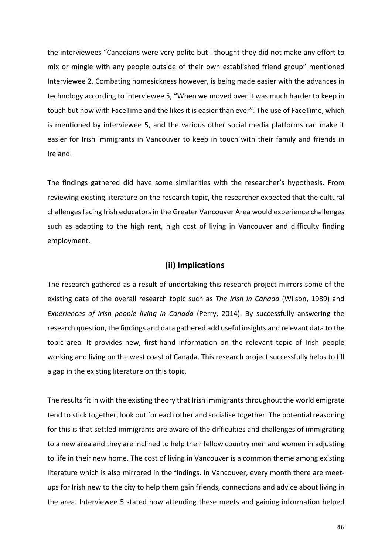the interviewees "Canadians were very polite but I thought they did not make any effort to mix or mingle with any people outside of their own established friend group" mentioned Interviewee 2. Combating homesickness however, is being made easier with the advances in technology according to interviewee 5, **"**When we moved over it was much harder to keep in touch but now with FaceTime and the likes it is easier than ever". The use of FaceTime, which is mentioned by interviewee 5, and the various other social media platforms can make it easier for Irish immigrants in Vancouver to keep in touch with their family and friends in Ireland.

The findings gathered did have some similarities with the researcher's hypothesis. From reviewing existing literature on the research topic, the researcher expected that the cultural challenges facing Irish educators in the Greater Vancouver Area would experience challenges such as adapting to the high rent, high cost of living in Vancouver and difficulty finding employment.

## **(ii) Implications**

The research gathered as a result of undertaking this research project mirrors some of the existing data of the overall research topic such as *The Irish in Canada* (Wilson, 1989) and *Experiences of Irish people living in Canada* (Perry, 2014). By successfully answering the research question, the findings and data gathered add useful insights and relevant data to the topic area. It provides new, first-hand information on the relevant topic of Irish people working and living on the west coast of Canada. This research project successfully helps to fill a gap in the existing literature on this topic.

The results fit in with the existing theory that Irish immigrants throughout the world emigrate tend to stick together, look out for each other and socialise together. The potential reasoning for this is that settled immigrants are aware of the difficulties and challenges of immigrating to a new area and they are inclined to help their fellow country men and women in adjusting to life in their new home. The cost of living in Vancouver is a common theme among existing literature which is also mirrored in the findings. In Vancouver, every month there are meetups for Irish new to the city to help them gain friends, connections and advice about living in the area. Interviewee 5 stated how attending these meets and gaining information helped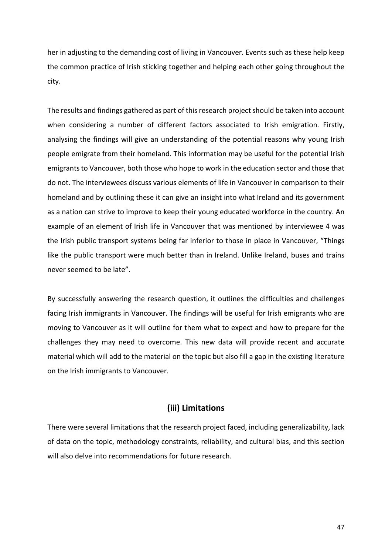her in adjusting to the demanding cost of living in Vancouver. Events such as these help keep the common practice of Irish sticking together and helping each other going throughout the city.

The results and findings gathered as part of this research project should be taken into account when considering a number of different factors associated to Irish emigration. Firstly, analysing the findings will give an understanding of the potential reasons why young Irish people emigrate from their homeland. This information may be useful for the potential Irish emigrants to Vancouver, both those who hope to work in the education sector and those that do not. The interviewees discuss various elements of life in Vancouver in comparison to their homeland and by outlining these it can give an insight into what Ireland and its government as a nation can strive to improve to keep their young educated workforce in the country. An example of an element of Irish life in Vancouver that was mentioned by interviewee 4 was the Irish public transport systems being far inferior to those in place in Vancouver, "Things like the public transport were much better than in Ireland. Unlike Ireland, buses and trains never seemed to be late".

By successfully answering the research question, it outlines the difficulties and challenges facing Irish immigrants in Vancouver. The findings will be useful for Irish emigrants who are moving to Vancouver as it will outline for them what to expect and how to prepare for the challenges they may need to overcome. This new data will provide recent and accurate material which will add to the material on the topic but also fill a gap in the existing literature on the Irish immigrants to Vancouver.

## **(iii) Limitations**

There were several limitations that the research project faced, including generalizability, lack of data on the topic, methodology constraints, reliability, and cultural bias, and this section will also delve into recommendations for future research.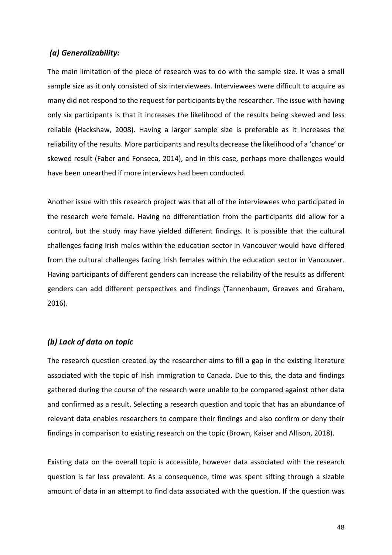## *(a) Generalizability:*

The main limitation of the piece of research was to do with the sample size. It was a small sample size as it only consisted of six interviewees. Interviewees were difficult to acquire as many did not respond to the request for participants by the researcher. The issue with having only six participants is that it increases the likelihood of the results being skewed and less reliable **(**Hackshaw, 2008). Having a larger sample size is preferable as it increases the reliability of the results. More participants and results decrease the likelihood of a 'chance' or skewed result (Faber and Fonseca, 2014), and in this case, perhaps more challenges would have been unearthed if more interviews had been conducted.

Another issue with this research project was that all of the interviewees who participated in the research were female. Having no differentiation from the participants did allow for a control, but the study may have yielded different findings. It is possible that the cultural challenges facing Irish males within the education sector in Vancouver would have differed from the cultural challenges facing Irish females within the education sector in Vancouver. Having participants of different genders can increase the reliability of the results as different genders can add different perspectives and findings (Tannenbaum, Greaves and Graham, 2016).

## *(b) Lack of data on topic*

The research question created by the researcher aims to fill a gap in the existing literature associated with the topic of Irish immigration to Canada. Due to this, the data and findings gathered during the course of the research were unable to be compared against other data and confirmed as a result. Selecting a research question and topic that has an abundance of relevant data enables researchers to compare their findings and also confirm or deny their findings in comparison to existing research on the topic (Brown, Kaiser and Allison, 2018).

Existing data on the overall topic is accessible, however data associated with the research question is far less prevalent. As a consequence, time was spent sifting through a sizable amount of data in an attempt to find data associated with the question. If the question was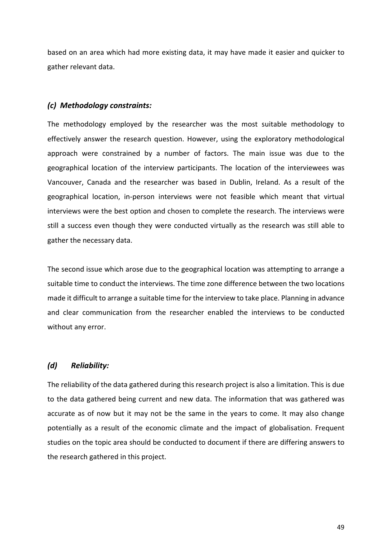based on an area which had more existing data, it may have made it easier and quicker to gather relevant data.

### *(c) Methodology constraints:*

The methodology employed by the researcher was the most suitable methodology to effectively answer the research question. However, using the exploratory methodological approach were constrained by a number of factors. The main issue was due to the geographical location of the interview participants. The location of the interviewees was Vancouver, Canada and the researcher was based in Dublin, Ireland. As a result of the geographical location, in-person interviews were not feasible which meant that virtual interviews were the best option and chosen to complete the research. The interviews were still a success even though they were conducted virtually as the research was still able to gather the necessary data.

The second issue which arose due to the geographical location was attempting to arrange a suitable time to conduct the interviews. The time zone difference between the two locations made it difficult to arrange a suitable time for the interview to take place. Planning in advance and clear communication from the researcher enabled the interviews to be conducted without any error.

#### *(d) Reliability:*

The reliability of the data gathered during this research project is also a limitation. This is due to the data gathered being current and new data. The information that was gathered was accurate as of now but it may not be the same in the years to come. It may also change potentially as a result of the economic climate and the impact of globalisation. Frequent studies on the topic area should be conducted to document if there are differing answers to the research gathered in this project.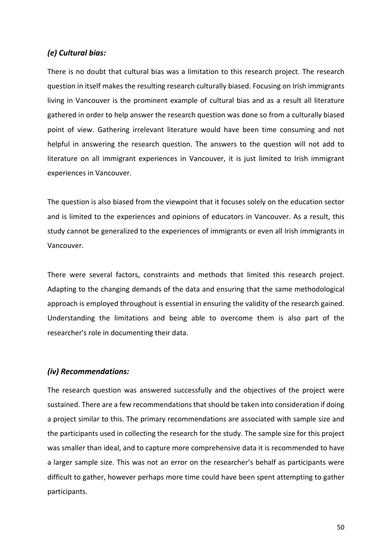## *(e) Cultural bias:*

There is no doubt that cultural bias was a limitation to this research project. The research question in itself makes the resulting research culturally biased. Focusing on Irish immigrants living in Vancouver is the prominent example of cultural bias and as a result all literature gathered in order to help answer the research question was done so from a culturally biased point of view. Gathering irrelevant literature would have been time consuming and not helpful in answering the research question. The answers to the question will not add to literature on all immigrant experiences in Vancouver, it is just limited to Irish immigrant experiences in Vancouver.

The question is also biased from the viewpoint that it focuses solely on the education sector and is limited to the experiences and opinions of educators in Vancouver. As a result, this study cannot be generalized to the experiences of immigrants or even all Irish immigrants in Vancouver.

There were several factors, constraints and methods that limited this research project. Adapting to the changing demands of the data and ensuring that the same methodological approach is employed throughout is essential in ensuring the validity of the research gained. Understanding the limitations and being able to overcome them is also part of the researcher's role in documenting their data.

### *(iv) Recommendations:*

The research question was answered successfully and the objectives of the project were sustained. There are a few recommendations that should be taken into consideration if doing a project similar to this. The primary recommendations are associated with sample size and the participants used in collecting the research for the study. The sample size for this project was smaller than ideal, and to capture more comprehensive data it is recommended to have a larger sample size. This was not an error on the researcher's behalf as participants were difficult to gather, however perhaps more time could have been spent attempting to gather participants.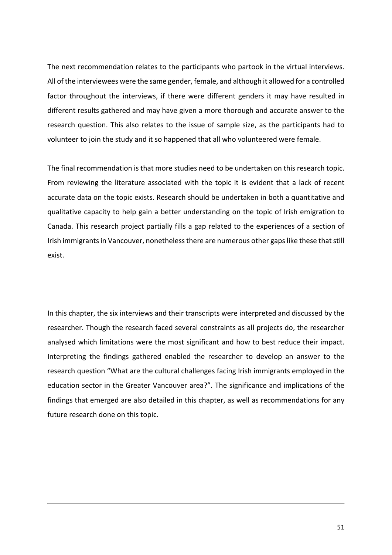The next recommendation relates to the participants who partook in the virtual interviews. All of the interviewees were the same gender, female, and although it allowed for a controlled factor throughout the interviews, if there were different genders it may have resulted in different results gathered and may have given a more thorough and accurate answer to the research question. This also relates to the issue of sample size, as the participants had to volunteer to join the study and it so happened that all who volunteered were female.

The final recommendation is that more studies need to be undertaken on this research topic. From reviewing the literature associated with the topic it is evident that a lack of recent accurate data on the topic exists. Research should be undertaken in both a quantitative and qualitative capacity to help gain a better understanding on the topic of Irish emigration to Canada. This research project partially fills a gap related to the experiences of a section of Irish immigrants in Vancouver, nonetheless there are numerous other gaps like these that still exist.

In this chapter, the six interviews and their transcripts were interpreted and discussed by the researcher. Though the research faced several constraints as all projects do, the researcher analysed which limitations were the most significant and how to best reduce their impact. Interpreting the findings gathered enabled the researcher to develop an answer to the research question "What are the cultural challenges facing Irish immigrants employed in the education sector in the Greater Vancouver area?". The significance and implications of the findings that emerged are also detailed in this chapter, as well as recommendations for any future research done on this topic.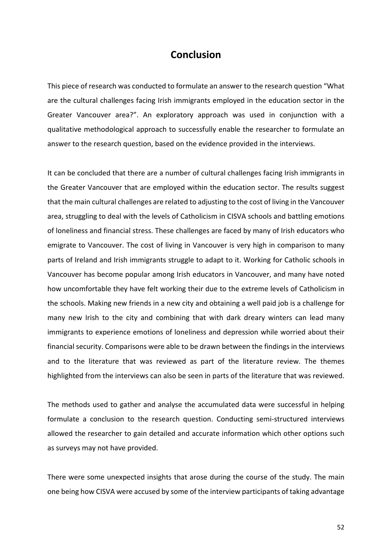## **Conclusion**

This piece of research was conducted to formulate an answer to the research question "What are the cultural challenges facing Irish immigrants employed in the education sector in the Greater Vancouver area?". An exploratory approach was used in conjunction with a qualitative methodological approach to successfully enable the researcher to formulate an answer to the research question, based on the evidence provided in the interviews.

It can be concluded that there are a number of cultural challenges facing Irish immigrants in the Greater Vancouver that are employed within the education sector. The results suggest that the main cultural challenges are related to adjusting to the cost of living in the Vancouver area, struggling to deal with the levels of Catholicism in CISVA schools and battling emotions of loneliness and financial stress. These challenges are faced by many of Irish educators who emigrate to Vancouver. The cost of living in Vancouver is very high in comparison to many parts of Ireland and Irish immigrants struggle to adapt to it. Working for Catholic schools in Vancouver has become popular among Irish educators in Vancouver, and many have noted how uncomfortable they have felt working their due to the extreme levels of Catholicism in the schools. Making new friends in a new city and obtaining a well paid job is a challenge for many new Irish to the city and combining that with dark dreary winters can lead many immigrants to experience emotions of loneliness and depression while worried about their financial security. Comparisons were able to be drawn between the findings in the interviews and to the literature that was reviewed as part of the literature review. The themes highlighted from the interviews can also be seen in parts of the literature that was reviewed.

The methods used to gather and analyse the accumulated data were successful in helping formulate a conclusion to the research question. Conducting semi-structured interviews allowed the researcher to gain detailed and accurate information which other options such as surveys may not have provided.

There were some unexpected insights that arose during the course of the study. The main one being how CISVA were accused by some of the interview participants of taking advantage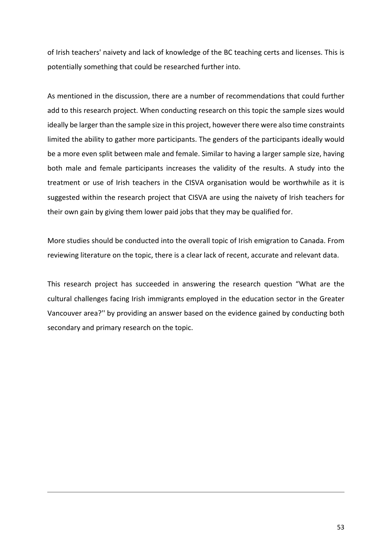of Irish teachers' naivety and lack of knowledge of the BC teaching certs and licenses. This is potentially something that could be researched further into.

As mentioned in the discussion, there are a number of recommendations that could further add to this research project. When conducting research on this topic the sample sizes would ideally be larger than the sample size in this project, however there were also time constraints limited the ability to gather more participants. The genders of the participants ideally would be a more even split between male and female. Similar to having a larger sample size, having both male and female participants increases the validity of the results. A study into the treatment or use of Irish teachers in the CISVA organisation would be worthwhile as it is suggested within the research project that CISVA are using the naivety of Irish teachers for their own gain by giving them lower paid jobs that they may be qualified for.

More studies should be conducted into the overall topic of Irish emigration to Canada. From reviewing literature on the topic, there is a clear lack of recent, accurate and relevant data.

This research project has succeeded in answering the research question "What are the cultural challenges facing Irish immigrants employed in the education sector in the Greater Vancouver area?'' by providing an answer based on the evidence gained by conducting both secondary and primary research on the topic.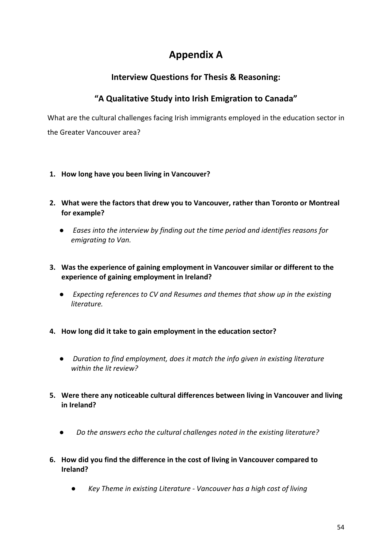# **Appendix A**

## **Interview Questions for Thesis & Reasoning:**

## **"A Qualitative Study into Irish Emigration to Canada"**

What are the cultural challenges facing Irish immigrants employed in the education sector in the Greater Vancouver area?

- **1. How long have you been living in Vancouver?**
- **2. What were the factors that drew you to Vancouver, rather than Toronto or Montreal for example?**
	- *Eases into the interview by finding out the time period and identifies reasons for emigrating to Van.*
- **3. Was the experience of gaining employment in Vancouver similar or different to the experience of gaining employment in Ireland?**
	- **●** *Expecting references to CV and Resumes and themes that show up in the existing literature.*
- **4. How long did it take to gain employment in the education sector?**
	- *Duration to find employment, does it match the info given in existing literature within the lit review?*
- **5. Were there any noticeable cultural differences between living in Vancouver and living in Ireland?**
	- *Do the answers echo the cultural challenges noted in the existing literature?*
- **6. How did you find the difference in the cost of living in Vancouver compared to Ireland?**
	- *Key Theme in existing Literature - Vancouver has a high cost of living*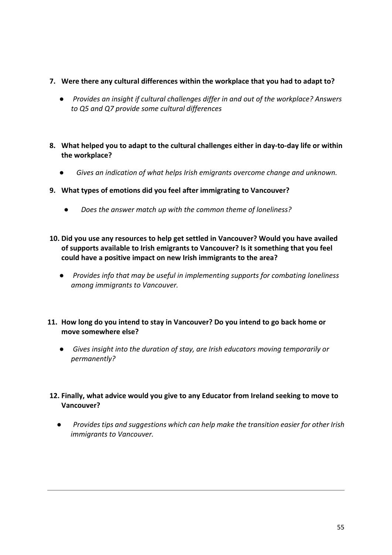- **7. Were there any cultural differences within the workplace that you had to adapt to?**
	- *Provides an insight if cultural challenges differ in and out of the workplace? Answers to Q5 and Q7 provide some cultural differences*
- **8. What helped you to adapt to the cultural challenges either in day-to-day life or within the workplace?**
	- Gives an indication of what helps Irish emigrants overcome change and unknown.
- **9. What types of emotions did you feel after immigrating to Vancouver?**
	- *Does the answer match up with the common theme of loneliness?*
- **10. Did you use any resources to help get settled in Vancouver? Would you have availed of supports available to Irish emigrants to Vancouver? Is it something that you feel could have a positive impact on new Irish immigrants to the area?**
	- *● Provides info that may be useful in implementing supports for combating loneliness among immigrants to Vancouver.*
- **11. How long do you intend to stay in Vancouver? Do you intend to go back home or move somewhere else?**
	- *● Gives insight into the duration of stay, are Irish educators moving temporarily or permanently?*
- **12. Finally, what advice would you give to any Educator from Ireland seeking to move to Vancouver?**
	- *Provides tips and suggestions which can help make the transition easier for other Irish immigrants to Vancouver.*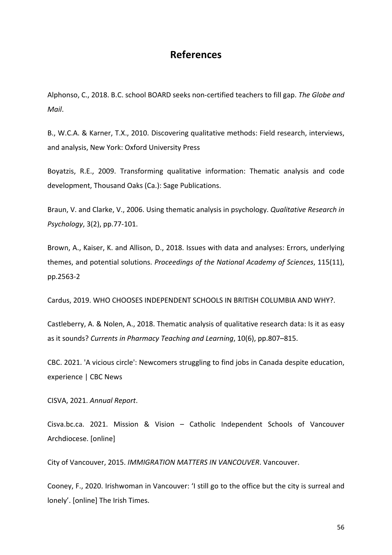## **References**

Alphonso, C., 2018. B.C. school BOARD seeks non-certified teachers to fill gap. *The Globe and Mail*.

B., W.C.A. & Karner, T.X., 2010. Discovering qualitative methods: Field research, interviews, and analysis, New York: Oxford University Press

Boyatzis, R.E., 2009. Transforming qualitative information: Thematic analysis and code development, Thousand Oaks (Ca.): Sage Publications.

Braun, V. and Clarke, V., 2006. Using thematic analysis in psychology. *Qualitative Research in Psychology*, 3(2), pp.77-101.

Brown, A., Kaiser, K. and Allison, D., 2018. Issues with data and analyses: Errors, underlying themes, and potential solutions. *Proceedings of the National Academy of Sciences*, 115(11), pp.2563-2

Cardus, 2019. WHO CHOOSES INDEPENDENT SCHOOLS IN BRITISH COLUMBIA AND WHY?.

Castleberry, A. & Nolen, A., 2018. Thematic analysis of qualitative research data: Is it as easy as it sounds? *Currents in Pharmacy Teaching and Learning*, 10(6), pp.807–815.

CBC. 2021. 'A vicious circle': Newcomers struggling to find jobs in Canada despite education, experience | CBC News

CISVA, 2021. *Annual Report*.

Cisva.bc.ca. 2021. Mission & Vision – Catholic Independent Schools of Vancouver Archdiocese. [online]

City of Vancouver, 2015. *IMMIGRATION MATTERS IN VANCOUVER*. Vancouver.

Cooney, F., 2020. Irishwoman in Vancouver: 'I still go to the office but the city is surreal and lonely'. [online] The Irish Times.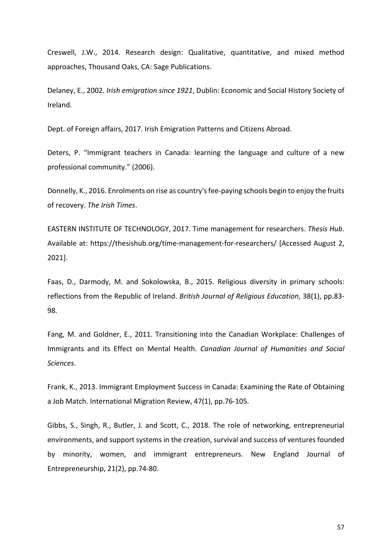Creswell, J.W., 2014. Research design: Qualitative, quantitative, and mixed method approaches, Thousand Oaks, CA: Sage Publications.

Delaney, E., 2002. *Irish emigration since 1921*, Dublin: Economic and Social History Society of Ireland.

Dept. of Foreign affairs, 2017. Irish Emigration Patterns and Citizens Abroad.

Deters, P. "Immigrant teachers in Canada: learning the language and culture of a new professional community." (2006).

Donnelly, K., 2016. Enrolments on rise as country's fee-paying schools begin to enjoy the fruits of recovery. *The Irish Times*.

EASTERN INSTITUTE OF TECHNOLOGY, 2017. Time management for researchers. *Thesis Hub*. Available at: https://thesishub.org/time-management-for-researchers/ [Accessed August 2, 2021].

Faas, D., Darmody, M. and Sokolowska, B., 2015. Religious diversity in primary schools: reflections from the Republic of Ireland. *British Journal of Religious Education*, 38(1), pp.83- 98.

Fang, M. and Goldner, E., 2011. Transitioning into the Canadian Workplace: Challenges of Immigrants and its Effect on Mental Health. *Canadian Journal of Humanities and Social Sciences*.

Frank, K., 2013. Immigrant Employment Success in Canada: Examining the Rate of Obtaining a Job Match. International Migration Review, 47(1), pp.76-105.

Gibbs, S., Singh, R., Butler, J. and Scott, C., 2018. The role of networking, entrepreneurial environments, and support systems in the creation, survival and success of ventures founded by minority, women, and immigrant entrepreneurs. New England Journal of Entrepreneurship, 21(2), pp.74-80.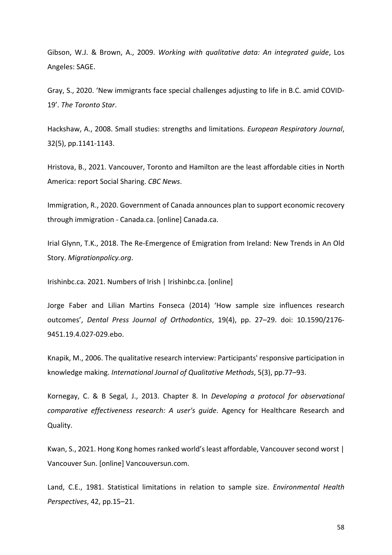Gibson, W.J. & Brown, A., 2009. *Working with qualitative data: An integrated guide*, Los Angeles: SAGE.

Gray, S., 2020. 'New immigrants face special challenges adjusting to life in B.C. amid COVID-19'. *The Toronto Star*.

Hackshaw, A., 2008. Small studies: strengths and limitations. *European Respiratory Journal*, 32(5), pp.1141-1143.

Hristova, B., 2021. Vancouver, Toronto and Hamilton are the least affordable cities in North America: report Social Sharing. *CBC News*.

Immigration, R., 2020. Government of Canada announces plan to support economic recovery through immigration - Canada.ca. [online] Canada.ca.

Irial Glynn, T.K., 2018. The Re-Emergence of Emigration from Ireland: New Trends in An Old Story. *Migrationpolicy.org*.

Irishinbc.ca. 2021. Numbers of Irish | Irishinbc.ca. [online]

Jorge Faber and Lilian Martins Fonseca (2014) 'How sample size influences research outcomes', *Dental Press Journal of Orthodontics*, 19(4), pp. 27–29. doi: 10.1590/2176- 9451.19.4.027-029.ebo.

Knapik, M., 2006. The qualitative research interview: Participants' responsive participation in knowledge making. *International Journal of Qualitative Methods*, 5(3), pp.77–93.

Kornegay, C. & B Segal, J., 2013. Chapter 8. In *Developing a protocol for observational comparative effectiveness research: A user's guide*. Agency for Healthcare Research and Quality.

Kwan, S., 2021. Hong Kong homes ranked world's least affordable, Vancouver second worst | Vancouver Sun. [online] Vancouversun.com.

Land, C.E., 1981. Statistical limitations in relation to sample size. *Environmental Health Perspectives*, 42, pp.15–21.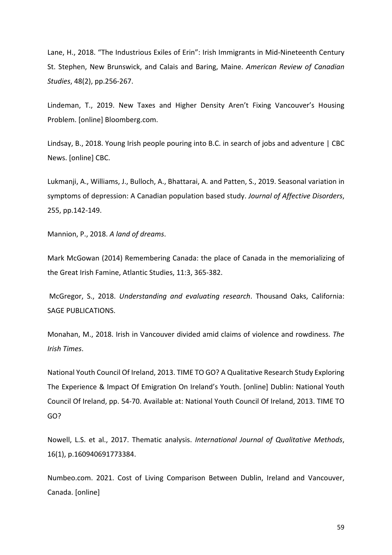Lane, H., 2018. "The Industrious Exiles of Erin": Irish Immigrants in Mid-Nineteenth Century St. Stephen, New Brunswick, and Calais and Baring, Maine. *American Review of Canadian Studies*, 48(2), pp.256-267.

Lindeman, T., 2019. New Taxes and Higher Density Aren't Fixing Vancouver's Housing Problem. [online] Bloomberg.com.

Lindsay, B., 2018. Young Irish people pouring into B.C. in search of jobs and adventure | CBC News. [online] CBC.

Lukmanji, A., Williams, J., Bulloch, A., Bhattarai, A. and Patten, S., 2019. Seasonal variation in symptoms of depression: A Canadian population based study. *Journal of Affective Disorders*, 255, pp.142-149.

Mannion, P., 2018. *A land of dreams*.

Mark McGowan (2014) Remembering Canada: the place of Canada in the memorializing of the Great Irish Famine, Atlantic Studies, 11:3, 365-382.

McGregor, S., 2018. *Understanding and evaluating research*. Thousand Oaks, California: SAGE PUBLICATIONS.

Monahan, M., 2018. Irish in Vancouver divided amid claims of violence and rowdiness. *The Irish Times*.

National Youth Council Of Ireland, 2013. TIME TO GO? A Qualitative Research Study Exploring The Experience & Impact Of Emigration On Ireland's Youth. [online] Dublin: National Youth Council Of Ireland, pp. 54-70. Available at: National Youth Council Of Ireland, 2013. TIME TO GO?

Nowell, L.S. et al., 2017. Thematic analysis. *International Journal of Qualitative Methods*, 16(1), p.160940691773384.

Numbeo.com. 2021. Cost of Living Comparison Between Dublin, Ireland and Vancouver, Canada. [online]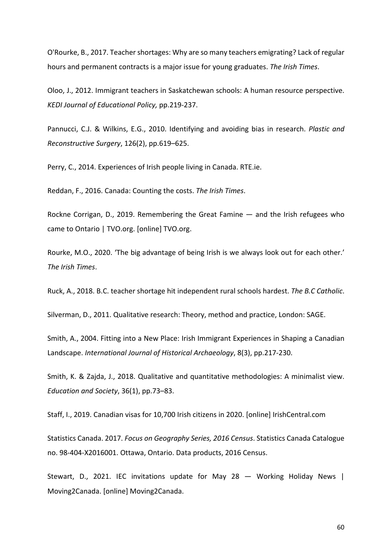O'Rourke, B., 2017. Teacher shortages: Why are so many teachers emigrating? Lack of regular hours and permanent contracts is a major issue for young graduates. *The Irish Times*.

Oloo, J., 2012. Immigrant teachers in Saskatchewan schools: A human resource perspective. *KEDI Journal of Educational Policy,* pp.219-237.

Pannucci, C.J. & Wilkins, E.G., 2010. Identifying and avoiding bias in research. *Plastic and Reconstructive Surgery*, 126(2), pp.619–625.

Perry, C., 2014. Experiences of Irish people living in Canada. RTE.ie.

Reddan, F., 2016. Canada: Counting the costs. *The Irish Times*.

Rockne Corrigan, D., 2019. Remembering the Great Famine — and the Irish refugees who came to Ontario | TVO.org. [online] TVO.org.

Rourke, M.O., 2020. 'The big advantage of being Irish is we always look out for each other.' *The Irish Times*.

Ruck, A., 2018. B.C. teacher shortage hit independent rural schools hardest. *The B.C Catholic*.

Silverman, D., 2011. Qualitative research: Theory, method and practice, London: SAGE.

Smith, A., 2004. Fitting into a New Place: Irish Immigrant Experiences in Shaping a Canadian Landscape. *International Journal of Historical Archaeology*, 8(3), pp.217-230.

Smith, K. & Zajda, J., 2018. Qualitative and quantitative methodologies: A minimalist view. *Education and Society*, 36(1), pp.73–83.

Staff, I., 2019. Canadian visas for 10,700 Irish citizens in 2020. [online] IrishCentral.com

Statistics Canada. 2017. *Focus on Geography Series, 2016 Census*. Statistics Canada Catalogue no. 98-404-X2016001. Ottawa, Ontario. Data products, 2016 Census.

Stewart, D., 2021. IEC invitations update for May 28  $-$  Working Holiday News | Moving2Canada. [online] Moving2Canada.